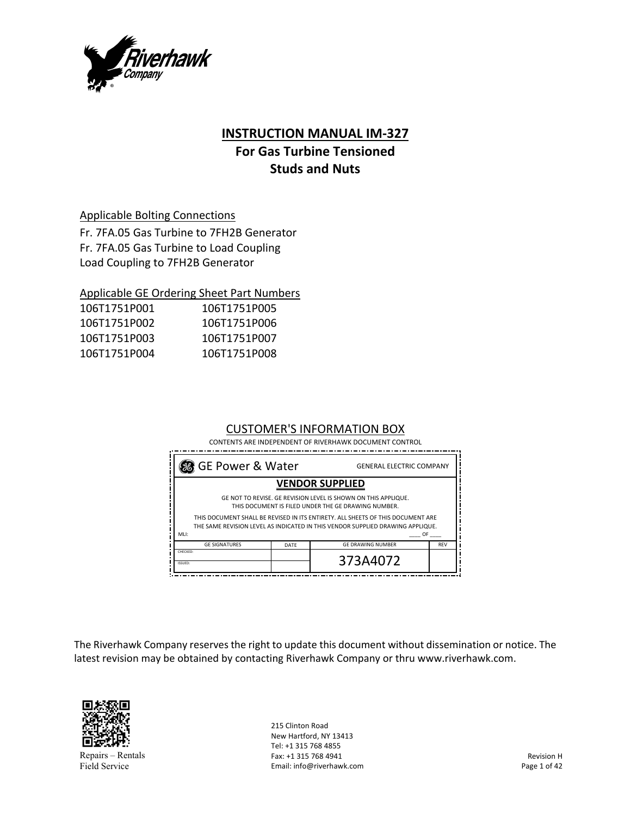

# **INSTRUCTION MANUAL IM‐327**

# **For Gas Turbine Tensioned Studs and Nuts**

# Applicable Bolting Connections

Fr. 7FA.05 Gas Turbine to 7FH2B Generator Fr. 7FA.05 Gas Turbine to Load Coupling Load Coupling to 7FH2B Generator

# Applicable GE Ordering Sheet Part Numbers

| 106T1751P001 | 106T1751P005 |
|--------------|--------------|
| 106T1751P002 | 106T1751P006 |
| 106T1751P003 | 106T1751P007 |
| 106T1751P004 | 106T1751P008 |

# CUSTOMER'S INFORMATION BOX

CONTENTS ARE INDEPENDENT OF RIVERHAWK DOCUMENT CONTROL

| 88 GE Power & Water                                                                                                                                               |  | <b>GENERAL ELECTRIC COMPANY</b> |  |
|-------------------------------------------------------------------------------------------------------------------------------------------------------------------|--|---------------------------------|--|
| <b>VENDOR SUPPLIED</b>                                                                                                                                            |  |                                 |  |
| GE NOT TO REVISE. GE REVISION LEVEL IS SHOWN ON THIS APPLIQUE.<br>THIS DOCUMENT IS FILED UNDER THE GE DRAWING NUMBER.                                             |  |                                 |  |
| THIS DOCUMENT SHALL BE REVISED IN ITS ENTIRETY. ALL SHEETS OF THIS DOCUMENT ARE<br>THE SAME REVISION LEVEL AS INDICATED IN THIS VENDOR SUPPLIED DRAWING APPLIQUE. |  |                                 |  |
| MLI:<br>0F<br><b>GF SIGNATURES</b><br><b>GF DRAWING NUMBER</b><br><b>REV</b><br>DATE                                                                              |  |                                 |  |
| CHECKED:<br><b>ISSUED:</b>                                                                                                                                        |  | 373A4072                        |  |

The Riverhawk Company reserves the right to update this document without dissemination or notice. The latest revision may be obtained by contacting Riverhawk Company or thru www.riverhawk.com.



Repairs – Rentals Field Service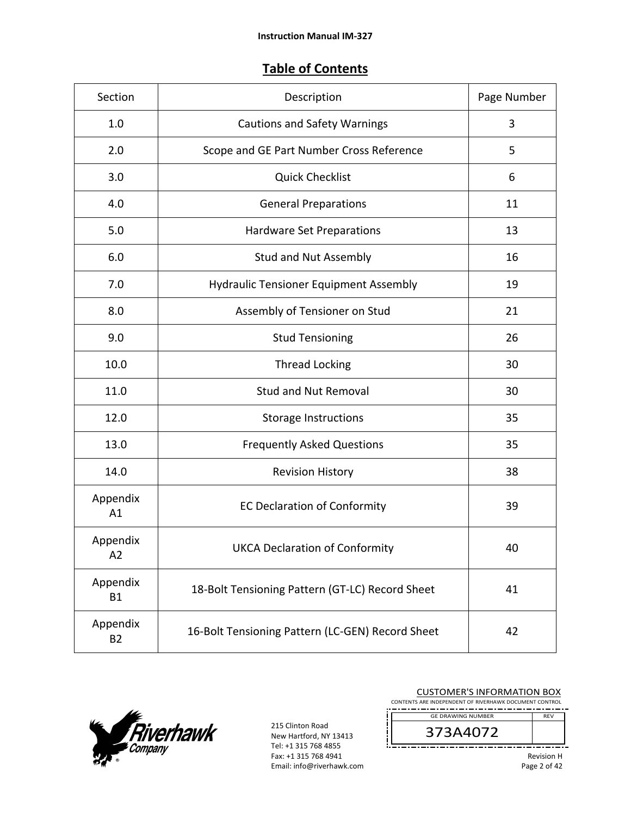# **Table of Contents**

| Section                    | Description                                      | Page Number |
|----------------------------|--------------------------------------------------|-------------|
| 1.0                        | <b>Cautions and Safety Warnings</b>              | 3           |
| 2.0                        | Scope and GE Part Number Cross Reference         | 5           |
| 3.0                        | <b>Quick Checklist</b>                           | 6           |
| 4.0                        | <b>General Preparations</b>                      | 11          |
| 5.0                        | Hardware Set Preparations                        | 13          |
| 6.0                        | <b>Stud and Nut Assembly</b>                     | 16          |
| 7.0                        | <b>Hydraulic Tensioner Equipment Assembly</b>    | 19          |
| 8.0                        | Assembly of Tensioner on Stud                    | 21          |
| 9.0                        | <b>Stud Tensioning</b>                           | 26          |
| 10.0                       | <b>Thread Locking</b>                            | 30          |
| 11.0                       | <b>Stud and Nut Removal</b>                      | 30          |
| 12.0                       | <b>Storage Instructions</b>                      | 35          |
| 13.0                       | <b>Frequently Asked Questions</b>                | 35          |
| 14.0                       | <b>Revision History</b>                          | 38          |
| Appendix<br>A1             | <b>EC Declaration of Conformity</b>              | 39          |
| Appendix<br>A <sub>2</sub> | <b>UKCA Declaration of Conformity</b>            | 40          |
| Appendix<br><b>B1</b>      | 18-Bolt Tensioning Pattern (GT-LC) Record Sheet  | 41          |
| Appendix<br><b>B2</b>      | 16-Bolt Tensioning Pattern (LC-GEN) Record Sheet | 42          |



| <b>CUSTOMER'S INFORMATION BOX</b><br>CONTENTS ARE INDEPENDENT OF RIVERHAWK DOCUMENT CONTROL |                          |                   |
|---------------------------------------------------------------------------------------------|--------------------------|-------------------|
|                                                                                             | <b>GE DRAWING NUMBER</b> | <b>RFV</b>        |
|                                                                                             | 373A4072                 |                   |
|                                                                                             |                          | <b>Revision H</b> |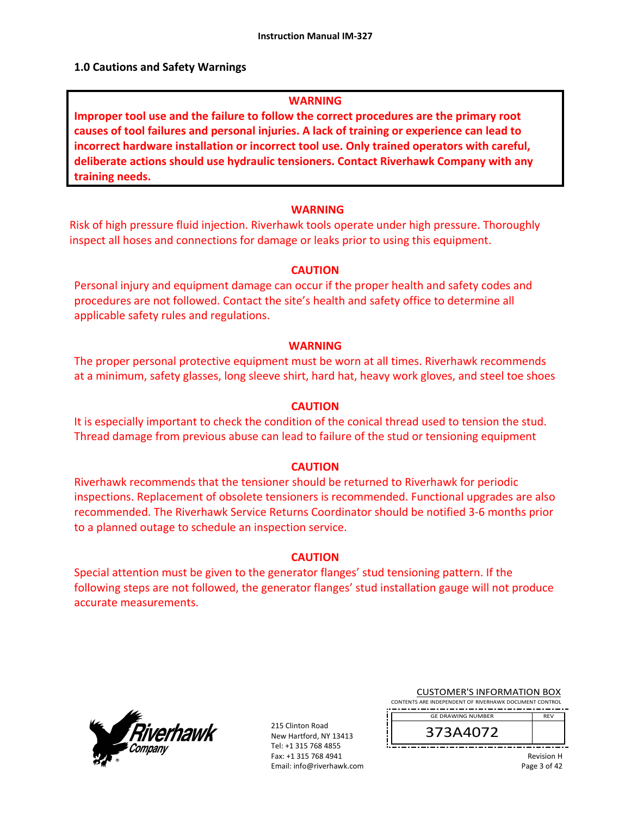# **1.0 Cautions and Safety Warnings**

# **WARNING**

**Improper tool use and the failure to follow the correct procedures are the primary root causes of tool failures and personal injuries. A lack of training or experience can lead to incorrect hardware installation or incorrect tool use. Only trained operators with careful, deliberate actions should use hydraulic tensioners. Contact Riverhawk Company with any training needs.** 

# **WARNING**

Risk of high pressure fluid injection. Riverhawk tools operate under high pressure. Thoroughly inspect all hoses and connections for damage or leaks prior to using this equipment.

# **CAUTION**

Personal injury and equipment damage can occur if the proper health and safety codes and procedures are not followed. Contact the site's health and safety office to determine all applicable safety rules and regulations.

# **WARNING**

The proper personal protective equipment must be worn at all times. Riverhawk recommends at a minimum, safety glasses, long sleeve shirt, hard hat, heavy work gloves, and steel toe shoes

# **CAUTION**

It is especially important to check the condition of the conical thread used to tension the stud. Thread damage from previous abuse can lead to failure of the stud or tensioning equipment

# **CAUTION**

Riverhawk recommends that the tensioner should be returned to Riverhawk for periodic inspections. Replacement of obsolete tensioners is recommended. Functional upgrades are also recommended. The Riverhawk Service Returns Coordinator should be notified 3‐6 months prior to a planned outage to schedule an inspection service.

# **CAUTION**

Special attention must be given to the generator flanges' stud tensioning pattern. If the following steps are not followed, the generator flanges' stud installation gauge will not produce accurate measurements.



215 Clinton Road New Hartford, NY 13413 Tel: +1 315 768 4855 Fax: +1 315 768 4941 Email: info@riverhawk.com

| <b>CUSTOMER'S INFORMATION BOX</b>                      |
|--------------------------------------------------------|
| CONTENTS ARE INDEPENDENT OF RIVERHAWK DOCUMENT CONTROL |
| ----------------------------------                     |

373A4072 GE DRAWING NUMBER

> Revision H Page 3 of 42

REV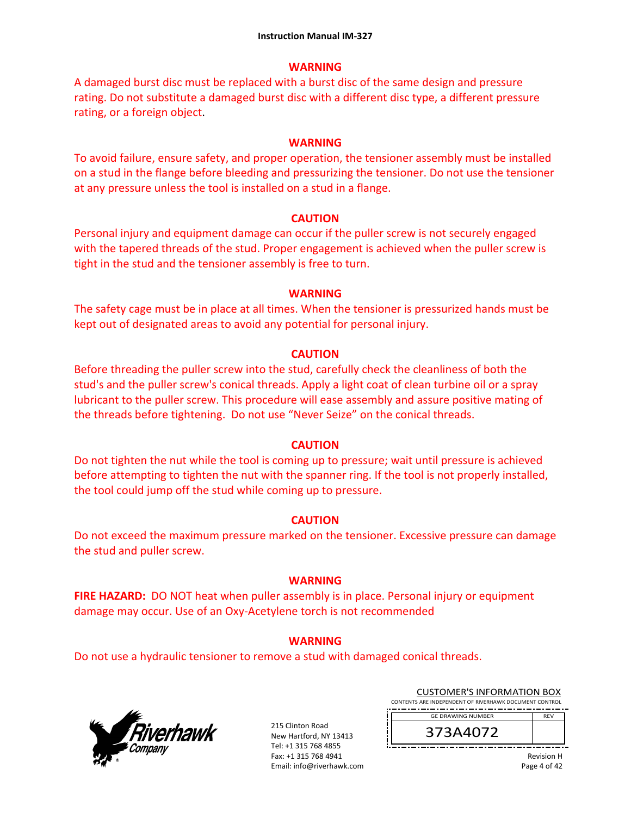# **WARNING**

A damaged burst disc must be replaced with a burst disc of the same design and pressure rating. Do not substitute a damaged burst disc with a different disc type, a different pressure rating, or a foreign object.

#### **WARNING**

To avoid failure, ensure safety, and proper operation, the tensioner assembly must be installed on a stud in the flange before bleeding and pressurizing the tensioner. Do not use the tensioner at any pressure unless the tool is installed on a stud in a flange.

#### **CAUTION**

Personal injury and equipment damage can occur if the puller screw is not securely engaged with the tapered threads of the stud. Proper engagement is achieved when the puller screw is tight in the stud and the tensioner assembly is free to turn.

#### **WARNING**

The safety cage must be in place at all times. When the tensioner is pressurized hands must be kept out of designated areas to avoid any potential for personal injury.

#### **CAUTION**

Before threading the puller screw into the stud, carefully check the cleanliness of both the stud's and the puller screw's conical threads. Apply a light coat of clean turbine oil or a spray lubricant to the puller screw. This procedure will ease assembly and assure positive mating of the threads before tightening. Do not use "Never Seize" on the conical threads.

# **CAUTION**

Do not tighten the nut while the tool is coming up to pressure; wait until pressure is achieved before attempting to tighten the nut with the spanner ring. If the tool is not properly installed, the tool could jump off the stud while coming up to pressure.

# **CAUTION**

Do not exceed the maximum pressure marked on the tensioner. Excessive pressure can damage the stud and puller screw.

# **WARNING**

**FIRE HAZARD:** DO NOT heat when puller assembly is in place. Personal injury or equipment damage may occur. Use of an Oxy‐Acetylene torch is not recommended

# **WARNING**

Do not use a hydraulic tensioner to remove a stud with damaged conical threads.



215 Clinton Road New Hartford, NY 13413 Tel: +1 315 768 4855 Fax: +1 315 768 4941 Email: info@riverhawk.com

| <b>CUSTOMER'S INFORMATION BOX</b>                      |
|--------------------------------------------------------|
| CONTENTS ARE INDEPENDENT OF RIVERHAWK DOCUMENT CONTROL |
|                                                        |



Revision H Page 4 of 42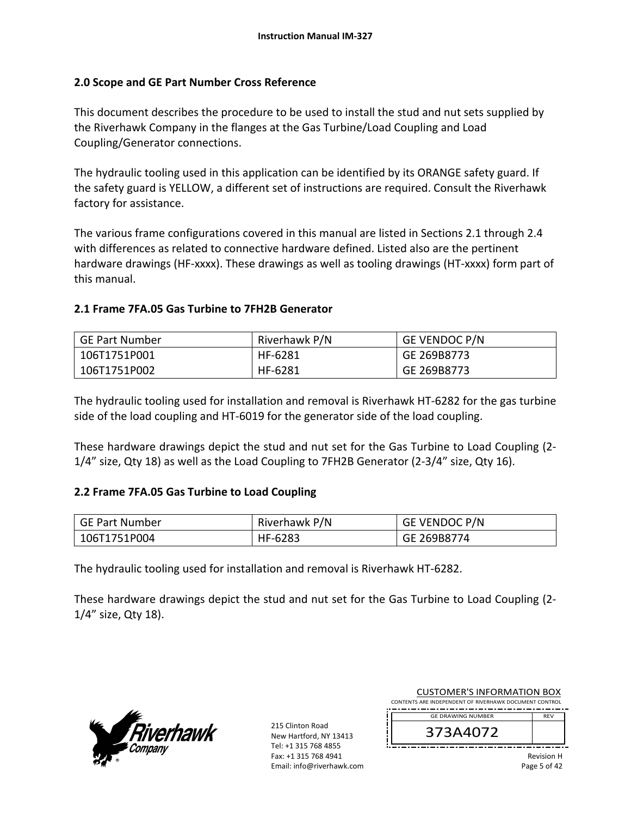# **2.0 Scope and GE Part Number Cross Reference**

This document describes the procedure to be used to install the stud and nut sets supplied by the Riverhawk Company in the flanges at the Gas Turbine/Load Coupling and Load Coupling/Generator connections.

The hydraulic tooling used in this application can be identified by its ORANGE safety guard. If the safety guard is YELLOW, a different set of instructions are required. Consult the Riverhawk factory for assistance.

The various frame configurations covered in this manual are listed in Sections 2.1 through 2.4 with differences as related to connective hardware defined. Listed also are the pertinent hardware drawings (HF-xxxx). These drawings as well as tooling drawings (HT-xxxx) form part of this manual.

# **2.1 Frame 7FA.05 Gas Turbine to 7FH2B Generator**

| GE Part Number | Riverhawk P/N | <b>GE VENDOC P/N</b> |
|----------------|---------------|----------------------|
| 106T1751P001   | HF-6281       | GE 269B8773          |
| 106T1751P002   | HF-6281       | GE 269B8773          |

The hydraulic tooling used for installation and removal is Riverhawk HT‐6282 for the gas turbine side of the load coupling and HT‐6019 for the generator side of the load coupling.

These hardware drawings depict the stud and nut set for the Gas Turbine to Load Coupling (2‐ 1/4" size, Qty 18) as well as the Load Coupling to 7FH2B Generator (2‐3/4" size, Qty 16).

# **2.2 Frame 7FA.05 Gas Turbine to Load Coupling**

| GE Part Number | Riverhawk P/N | <b>GE VENDOC P/N</b> |
|----------------|---------------|----------------------|
| 106T1751P004   | HF-6283       | GE 269B8774          |

The hydraulic tooling used for installation and removal is Riverhawk HT‐6282.

These hardware drawings depict the stud and nut set for the Gas Turbine to Load Coupling (2‐ 1/4" size, Qty 18).



| <b>CUSTOMER'S INFORMATION BOX</b><br>CONTENTS ARE INDEPENDENT OF RIVERHAWK DOCUMENT CONTROL |                          |                   |
|---------------------------------------------------------------------------------------------|--------------------------|-------------------|
|                                                                                             | <b>GE DRAWING NUMBER</b> | <b>RFV</b>        |
|                                                                                             | 373A4072                 |                   |
|                                                                                             |                          | <b>Revision H</b> |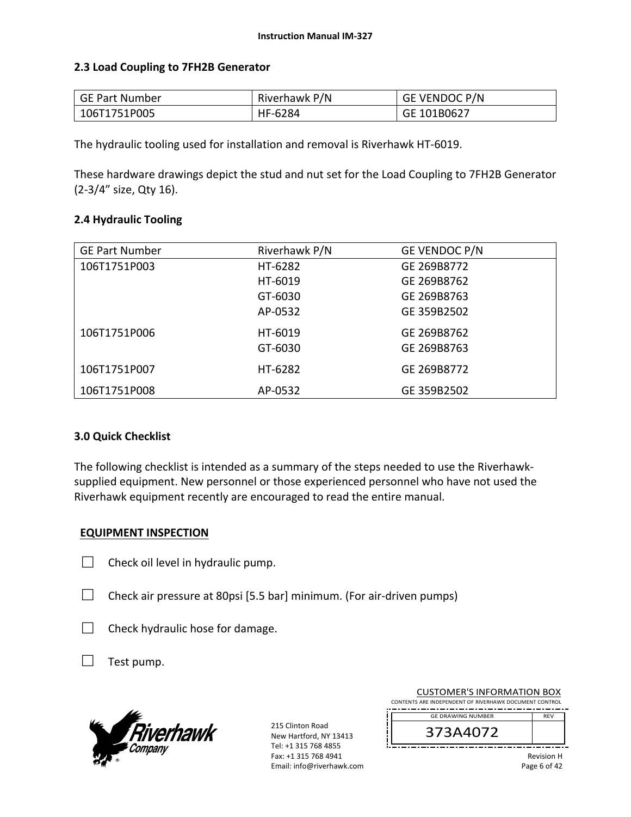# **2.3 Load Coupling to 7FH2B Generator**

| GE Part Number | Riverhawk P/N | <b>GE VENDOC P/N</b> |
|----------------|---------------|----------------------|
| 106T1751P005   | HF-6284       | GE 101B0627          |

The hydraulic tooling used for installation and removal is Riverhawk HT‐6019.

These hardware drawings depict the stud and nut set for the Load Coupling to 7FH2B Generator (2‐3/4" size, Qty 16).

# **2.4 Hydraulic Tooling**

| <b>GE Part Number</b> | Riverhawk P/N | GE VENDOC P/N |
|-----------------------|---------------|---------------|
| 106T1751P003          | HT-6282       | GE 269B8772   |
|                       | HT-6019       | GE 269B8762   |
|                       | GT-6030       | GE 269B8763   |
|                       | AP-0532       | GE 359B2502   |
| 106T1751P006          | HT-6019       | GE 269B8762   |
|                       | GT-6030       | GE 269B8763   |
| 106T1751P007          | HT-6282       | GE 269B8772   |
| 106T1751P008          | AP-0532       | GE 359B2502   |

# **3.0 Quick Checklist**

The following checklist is intended as a summary of the steps needed to use the Riverhawk‐ supplied equipment. New personnel or those experienced personnel who have not used the Riverhawk equipment recently are encouraged to read the entire manual.

# **EQUIPMENT INSPECTION**

- $\Box$  Check oil level in hydraulic pump.
- $\Box$  Check air pressure at 80psi [5.5 bar] minimum. (For air-driven pumps)
- $\Box$  Check hydraulic hose for damage.
- $\Box$  Test pump.



215 Clinton Road New Hartford, NY 13413 Tel: +1 315 768 4855 Fax: +1 315 768 4941 Email: info@riverhawk.com

|                                                        | 373A4072                 |            |
|--------------------------------------------------------|--------------------------|------------|
|                                                        | <b>GE DRAWING NUMBER</b> | <b>RFV</b> |
|                                                        |                          |            |
| CONTENTS ARE INDEPENDENT OF RIVERHAWK DOCUMENT CONTROL |                          |            |

CUSTOMER'S INFORMATION BOX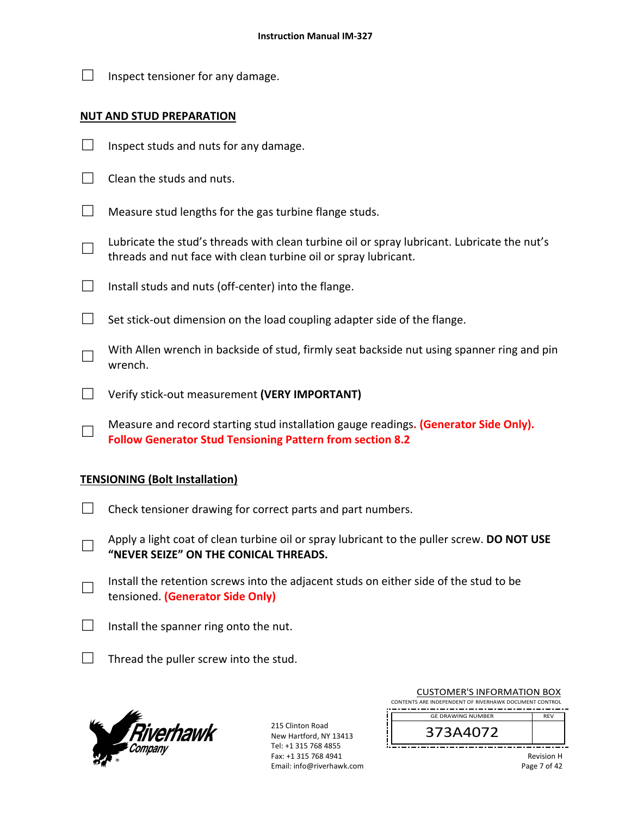| Inspect tensioner for any damage. |
|-----------------------------------|
|                                   |

# **NUT AND STUD PREPARATION**

- $\Box$  Inspect studs and nuts for any damage.
- $\Box$  Clean the studs and nuts.
- $\Box$  Measure stud lengths for the gas turbine flange studs.
- □ Lubricate the stud's threads with clean turbine oil or spray lubricant. Lubricate the nut's threads and nut face with clean turbine oil or spray lubricant.
- $\Box$  Install studs and nuts (off-center) into the flange.
- $\Box$  Set stick-out dimension on the load coupling adapter side of the flange.
- □ With Allen wrench in backside of stud, firmly seat backside nut using spanner ring and pin wrench.
- □ Verify stick‐out measurement **(VERY IMPORTANT)**
- □ Measure and record starting stud installation gauge readings**. (Generator Side Only). Follow Generator Stud Tensioning Pattern from section 8.2**

# **TENSIONING (Bolt Installation)**

- $\Box$  Check tensioner drawing for correct parts and part numbers.
- □ Apply a light coat of clean turbine oil or spray lubricant to the puller screw. **DO NOT USE "NEVER SEIZE" ON THE CONICAL THREADS.**
- □ Install the retention screws into the adjacent studs on either side of the stud to be tensioned. **(Generator Side Only)**
- $\Box$  Install the spanner ring onto the nut.
- $\Box$  Thread the puller screw into the stud.



| <b>CUSTOMER'S INFORMATION BOX</b><br>CONTENTS ARE INDEPENDENT OF RIVERHAWK DOCUMENT CONTROL |            |
|---------------------------------------------------------------------------------------------|------------|
| <b>GE DRAWING NUMBER</b>                                                                    | <b>RFV</b> |
| 373A4072                                                                                    |            |
|                                                                                             |            |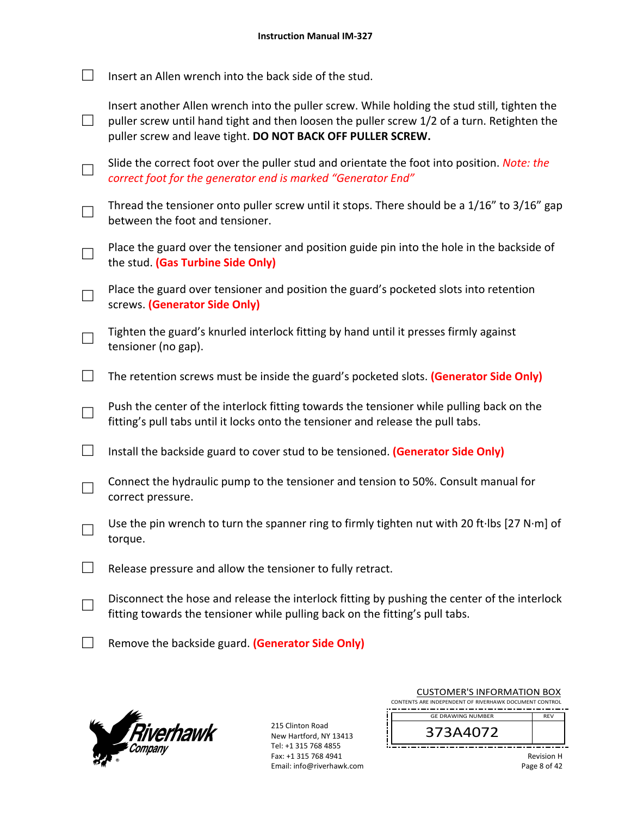| Insert an Allen wrench into the back side of the stud. |
|--------------------------------------------------------|
|                                                        |

| Insert another Allen wrench into the puller screw. While holding the stud still, tighten the  |
|-----------------------------------------------------------------------------------------------|
| puller screw until hand tight and then loosen the puller screw $1/2$ of a turn. Retighten the |
| puller screw and leave tight. DO NOT BACK OFF PULLER SCREW.                                   |

- □ Slide the correct foot over the puller stud and orientate the foot into position. *Note: the correct foot for the generator end is marked "Generator End"*
- □ Thread the tensioner onto puller screw until it stops. There should be a 1/16" to 3/16" gap between the foot and tensioner.
- □ Place the guard over the tensioner and position guide pin into the hole in the backside of the stud. **(Gas Turbine Side Only)**
- □ Place the guard over tensioner and position the guard's pocketed slots into retention screws. **(Generator Side Only)**
- □ Tighten the guard's knurled interlock fitting by hand until it presses firmly against tensioner (no gap).
- □ The retention screws must be inside the guard's pocketed slots. **(Generator Side Only)**
- □ Push the center of the interlock fitting towards the tensioner while pulling back on the fitting's pull tabs until it locks onto the tensioner and release the pull tabs.
- □ Install the backside guard to cover stud to be tensioned. **(Generator Side Only)**
- □ Connect the hydraulic pump to the tensioner and tension to 50%. Consult manual for correct pressure.
- □ Use the pin wrench to turn the spanner ring to firmly tighten nut with 20 ft∙lbs [27 N∙m] of torque.
- $\Box$  Release pressure and allow the tensioner to fully retract.
- □ Disconnect the hose and release the interlock fitting by pushing the center of the interlock fitting towards the tensioner while pulling back on the fitting's pull tabs.
- □ Remove the backside guard. **(Generator Side Only)**



215 Clinton Road New Hartford, NY 13413 Tel: +1 315 768 4855 Fax: +1 315 768 4941 Email: info@riverhawk.com

| COSTONIER STINI ORIVIATION DOA                         |            |
|--------------------------------------------------------|------------|
| CONTENTS ARE INDEPENDENT OF RIVERHAWK DOCUMENT CONTROL |            |
|                                                        |            |
| <b>GE DRAWING NUMBER</b>                               | <b>RFV</b> |
|                                                        |            |
|                                                        |            |
| 373A4072                                               |            |
|                                                        |            |
|                                                        |            |

CUSTOMER'S INFORMATION BOX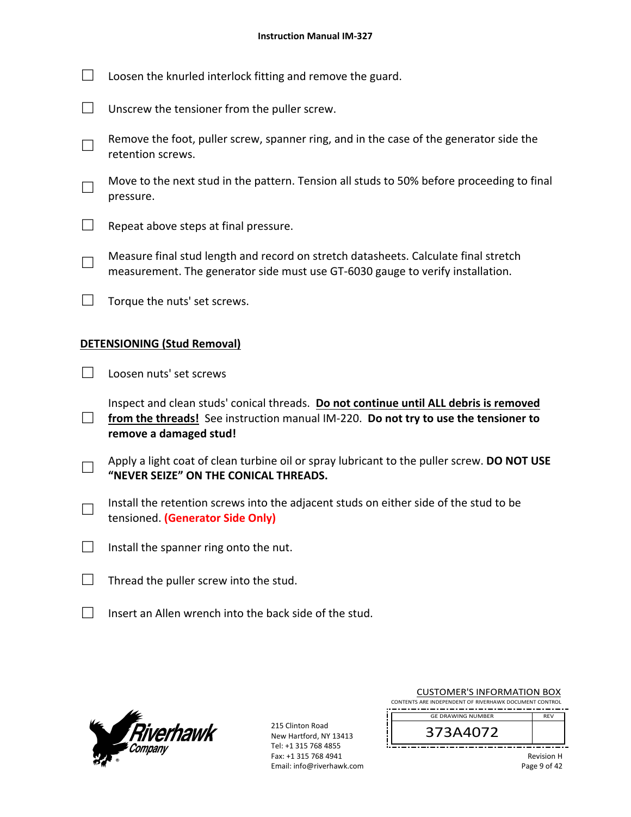|                                    | Loosen the knurled interlock fitting and remove the guard.                                                                                                            |  |
|------------------------------------|-----------------------------------------------------------------------------------------------------------------------------------------------------------------------|--|
|                                    | Unscrew the tensioner from the puller screw.                                                                                                                          |  |
|                                    | Remove the foot, puller screw, spanner ring, and in the case of the generator side the<br>retention screws.                                                           |  |
|                                    | Move to the next stud in the pattern. Tension all studs to 50% before proceeding to final<br>pressure.                                                                |  |
|                                    | Repeat above steps at final pressure.                                                                                                                                 |  |
|                                    | Measure final stud length and record on stretch datasheets. Calculate final stretch<br>measurement. The generator side must use GT-6030 gauge to verify installation. |  |
|                                    | Torque the nuts' set screws.                                                                                                                                          |  |
| <b>DETENSIONING (Stud Removal)</b> |                                                                                                                                                                       |  |
|                                    | المستحصر المستنفر وبمحموم المسار                                                                                                                                      |  |

 $\Box$  Loosen nuts' set screws

□ Inspect and clean studs' conical threads. **Do not continue until ALL debris is removed**  from the threads! See instruction manual IM-220. Do not try to use the tensioner to **remove a damaged stud!** 

- □ Apply a light coat of clean turbine oil or spray lubricant to the puller screw. **DO NOT USE "NEVER SEIZE" ON THE CONICAL THREADS.**
- □ Install the retention screws into the adjacent studs on either side of the stud to be tensioned. **(Generator Side Only)**
- $\Box$  Install the spanner ring onto the nut.
- $\Box$  Thread the puller screw into the stud.
- $\Box$  Insert an Allen wrench into the back side of the stud.



| <b>CUSTOMER'S INFORMATION BOX</b><br>CONTENTS ARE INDEPENDENT OF RIVERHAWK DOCUMENT CONTROL |                   |
|---------------------------------------------------------------------------------------------|-------------------|
| <b>GE DRAWING NUMBER</b>                                                                    | <b>RFV</b>        |
| 373A4072                                                                                    |                   |
|                                                                                             | <b>Revision H</b> |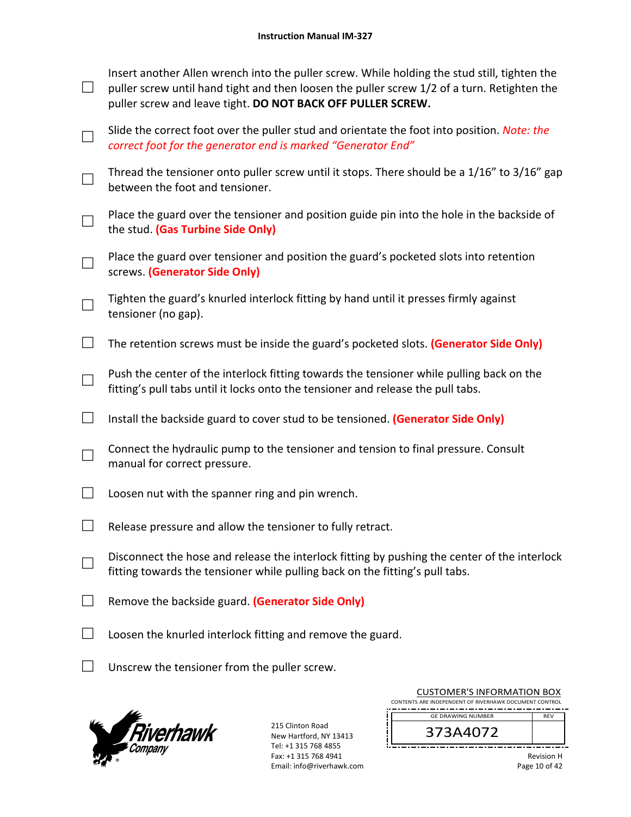| Insert another Allen wrench into the puller screw. While holding the stud still, tighten the |
|----------------------------------------------------------------------------------------------|
| puller screw until hand tight and then loosen the puller screw 1/2 of a turn. Retighten the  |
| puller screw and leave tight. DO NOT BACK OFF PULLER SCREW.                                  |

- □ Slide the correct foot over the puller stud and orientate the foot into position. *Note: the correct foot for the generator end is marked "Generator End"*
- □ Thread the tensioner onto puller screw until it stops. There should be a 1/16" to 3/16" gap between the foot and tensioner.
- □ Place the guard over the tensioner and position guide pin into the hole in the backside of the stud. **(Gas Turbine Side Only)**
- □ Place the guard over tensioner and position the guard's pocketed slots into retention screws. **(Generator Side Only)**
- □ Tighten the guard's knurled interlock fitting by hand until it presses firmly against tensioner (no gap).
- □ The retention screws must be inside the guard's pocketed slots. **(Generator Side Only)**
- □ Push the center of the interlock fitting towards the tensioner while pulling back on the fitting's pull tabs until it locks onto the tensioner and release the pull tabs.
- □ Install the backside guard to cover stud to be tensioned. **(Generator Side Only)**
- □ Connect the hydraulic pump to the tensioner and tension to final pressure. Consult manual for correct pressure.
- $\Box$  Loosen nut with the spanner ring and pin wrench.
- $\Box$  Release pressure and allow the tensioner to fully retract.
- □ Disconnect the hose and release the interlock fitting by pushing the center of the interlock fitting towards the tensioner while pulling back on the fitting's pull tabs.
- □ Remove the backside guard. **(Generator Side Only)**
- $\Box$  Loosen the knurled interlock fitting and remove the guard.
- $\Box$  Unscrew the tensioner from the puller screw.



215 Clinton Road New Hartford, NY 13413 Tel: +1 315 768 4855 Fax: +1 315 768 4941 Email: info@riverhawk.com

| COSTONIER STINI ORIVIATION DOA                         |            |
|--------------------------------------------------------|------------|
| CONTENTS ARE INDEPENDENT OF RIVERHAWK DOCUMENT CONTROL |            |
|                                                        |            |
| <b>GE DRAWING NUMBER</b>                               | <b>RFV</b> |
|                                                        |            |
|                                                        |            |
| 373A4072                                               |            |
|                                                        |            |
|                                                        |            |
|                                                        |            |

CUSTOMER'S INFORMATION BOX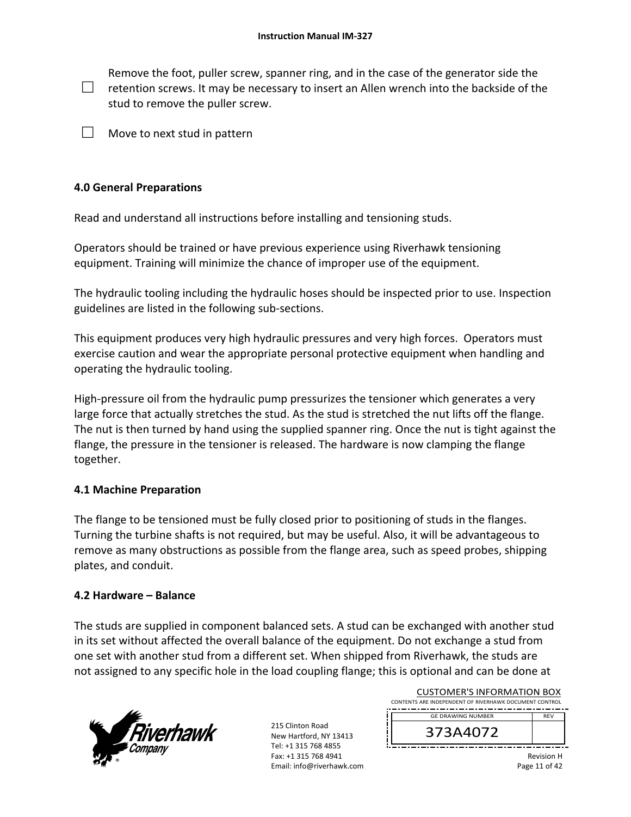□ Remove the foot, puller screw, spanner ring, and in the case of the generator side the retention screws. It may be necessary to insert an Allen wrench into the backside of the stud to remove the puller screw.

 $\Box$  Move to next stud in pattern

# **4.0 General Preparations**

Read and understand all instructions before installing and tensioning studs.

Operators should be trained or have previous experience using Riverhawk tensioning equipment. Training will minimize the chance of improper use of the equipment.

The hydraulic tooling including the hydraulic hoses should be inspected prior to use. Inspection guidelines are listed in the following sub‐sections.

This equipment produces very high hydraulic pressures and very high forces. Operators must exercise caution and wear the appropriate personal protective equipment when handling and operating the hydraulic tooling.

High-pressure oil from the hydraulic pump pressurizes the tensioner which generates a very large force that actually stretches the stud. As the stud is stretched the nut lifts off the flange. The nut is then turned by hand using the supplied spanner ring. Once the nut is tight against the flange, the pressure in the tensioner is released. The hardware is now clamping the flange together.

# **4.1 Machine Preparation**

The flange to be tensioned must be fully closed prior to positioning of studs in the flanges. Turning the turbine shafts is not required, but may be useful. Also, it will be advantageous to remove as many obstructions as possible from the flange area, such as speed probes, shipping plates, and conduit.

# **4.2 Hardware – Balance**

The studs are supplied in component balanced sets. A stud can be exchanged with another stud in its set without affected the overall balance of the equipment. Do not exchange a stud from one set with another stud from a different set. When shipped from Riverhawk, the studs are not assigned to any specific hole in the load coupling flange; this is optional and can be done at



| <b>CUSTOMER'S INFORMATION BOX</b><br>CONTENTS ARE INDEPENDENT OF RIVERHAWK DOCUMENT CONTROL |            |  |
|---------------------------------------------------------------------------------------------|------------|--|
| <b>GE DRAWING NUMBER</b>                                                                    | <b>RFV</b> |  |
| 373A4072                                                                                    |            |  |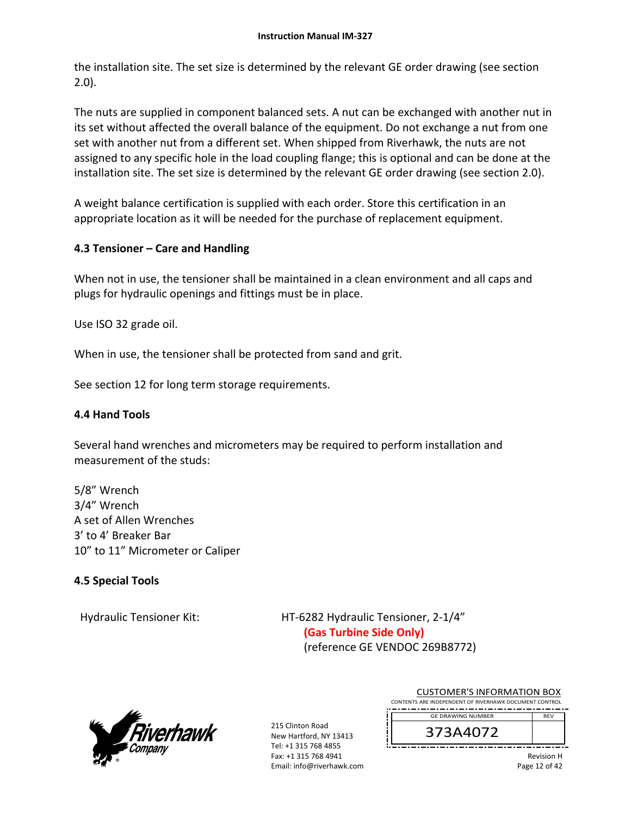the installation site. The set size is determined by the relevant GE order drawing (see section 2.0).

The nuts are supplied in component balanced sets. A nut can be exchanged with another nut in its set without affected the overall balance of the equipment. Do not exchange a nut from one set with another nut from a different set. When shipped from Riverhawk, the nuts are not assigned to any specific hole in the load coupling flange; this is optional and can be done at the installation site. The set size is determined by the relevant GE order drawing (see section 2.0).

A weight balance certification is supplied with each order. Store this certification in an appropriate location as it will be needed for the purchase of replacement equipment.

# **4.3 Tensioner – Care and Handling**

When not in use, the tensioner shall be maintained in a clean environment and all caps and plugs for hydraulic openings and fittings must be in place.

Use ISO 32 grade oil.

When in use, the tensioner shall be protected from sand and grit.

See section 12 for long term storage requirements.

# **4.4 Hand Tools**

Several hand wrenches and micrometers may be required to perform installation and measurement of the studs:

5/8" Wrench 3/4" Wrench A set of Allen Wrenches 3' to 4' Breaker Bar 10" to 11" Micrometer or Caliper

# **4.5 Special Tools**

Hydraulic Tensioner Kit: 
HT-6282 Hydraulic Tensioner, 2-1/4" **(Gas Turbine Side Only)** (reference GE VENDOC 269B8772)



215 Clinton Road New Hartford, NY 13413 Tel: +1 315 768 4855 Fax: +1 315 768 4941 Email: info@riverhawk.com

| CUSTUMER S INFORMATION BUX                             |            |  |
|--------------------------------------------------------|------------|--|
| CONTENTS ARE INDEPENDENT OF RIVERHAWK DOCUMENT CONTROL |            |  |
|                                                        |            |  |
| <b>GE DRAWING NUMBER</b>                               | <b>RFV</b> |  |
|                                                        |            |  |

CUCTOMER'S INFORMATION BOY

373A4072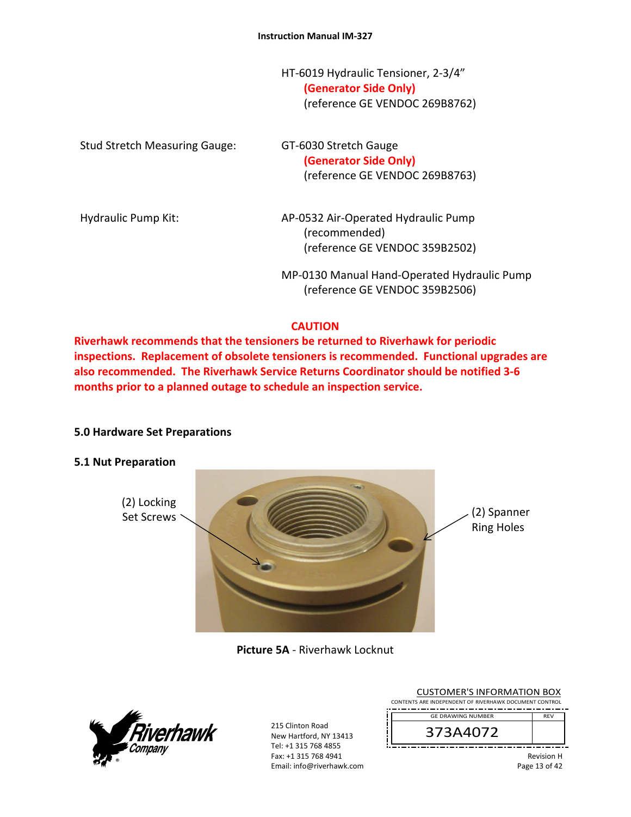HT‐6019 Hydraulic Tensioner, 2‐3/4" **(Generator Side Only)** (reference GE VENDOC 269B8762)

| <b>Stud Stretch Measuring Gauge:</b> | GT-6030 Stretch Gauge<br>(Generator Side Only)<br>(reference GE VENDOC 269B8763)       |
|--------------------------------------|----------------------------------------------------------------------------------------|
| Hydraulic Pump Kit:                  | AP-0532 Air-Operated Hydraulic Pump<br>(recommended)<br>(reference GE VENDOC 359B2502) |
|                                      | MP-0130 Manual Hand-Operated Hydraulic Pump<br>(reference GE VENDOC 359B2506)          |

# **CAUTION**

**Riverhawk recommends that the tensioners be returned to Riverhawk for periodic inspections. Replacement of obsolete tensioners is recommended. Functional upgrades are also recommended. The Riverhawk Service Returns Coordinator should be notified 3‐6 months prior to a planned outage to schedule an inspection service.** 

# **5.0 Hardware Set Preparations**

#### **5.1 Nut Preparation**



**Picture 5A** ‐ Riverhawk Locknut



| <b>CUSTOMER'S INFORMATION BOX</b><br>CONTENTS ARE INDEPENDENT OF RIVERHAWK DOCUMENT CONTROL |                                    |
|---------------------------------------------------------------------------------------------|------------------------------------|
| <b>GE DRAWING NUMBER</b>                                                                    | <b>RFV</b>                         |
| 373A4072                                                                                    |                                    |
|                                                                                             | <b>Revision H</b><br>Page 13 of 42 |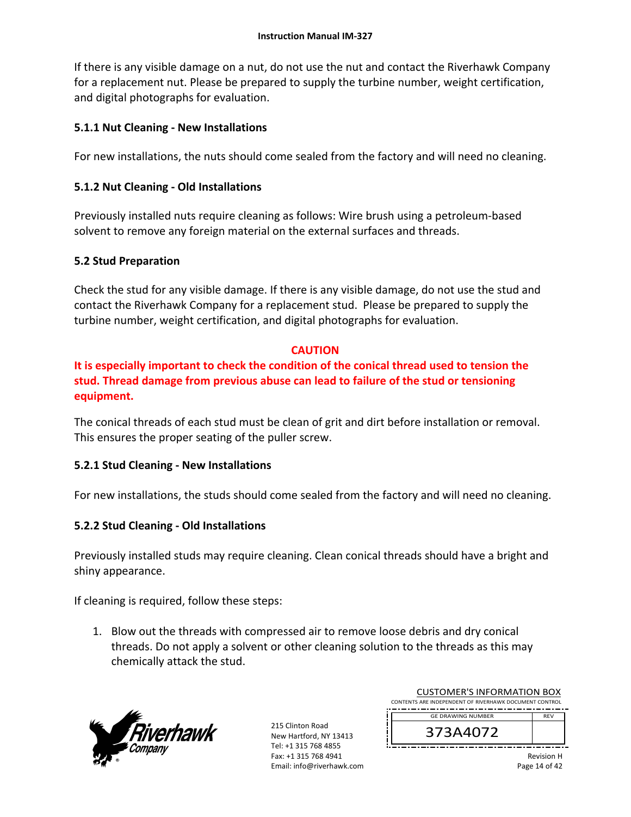If there is any visible damage on a nut, do not use the nut and contact the Riverhawk Company for a replacement nut. Please be prepared to supply the turbine number, weight certification, and digital photographs for evaluation.

# **5.1.1 Nut Cleaning ‐ New Installations**

For new installations, the nuts should come sealed from the factory and will need no cleaning.

# **5.1.2 Nut Cleaning ‐ Old Installations**

Previously installed nuts require cleaning as follows: Wire brush using a petroleum‐based solvent to remove any foreign material on the external surfaces and threads.

# **5.2 Stud Preparation**

Check the stud for any visible damage. If there is any visible damage, do not use the stud and contact the Riverhawk Company for a replacement stud. Please be prepared to supply the turbine number, weight certification, and digital photographs for evaluation.

# **CAUTION**

**It is especially important to check the condition of the conical thread used to tension the stud. Thread damage from previous abuse can lead to failure of the stud or tensioning equipment.** 

The conical threads of each stud must be clean of grit and dirt before installation or removal. This ensures the proper seating of the puller screw.

# **5.2.1 Stud Cleaning ‐ New Installations**

For new installations, the studs should come sealed from the factory and will need no cleaning.

# **5.2.2 Stud Cleaning ‐ Old Installations**

Previously installed studs may require cleaning. Clean conical threads should have a bright and shiny appearance.

If cleaning is required, follow these steps:

1. Blow out the threads with compressed air to remove loose debris and dry conical threads. Do not apply a solvent or other cleaning solution to the threads as this may chemically attack the stud.



| <b>CUSTOMER'S INFORMATION BOX</b><br>CONTENTS ARE INDEPENDENT OF RIVERHAWK DOCUMENT CONTROL |            |
|---------------------------------------------------------------------------------------------|------------|
| <b>GE DRAWING NUMBER</b>                                                                    | <b>RFV</b> |
| 373A4072                                                                                    |            |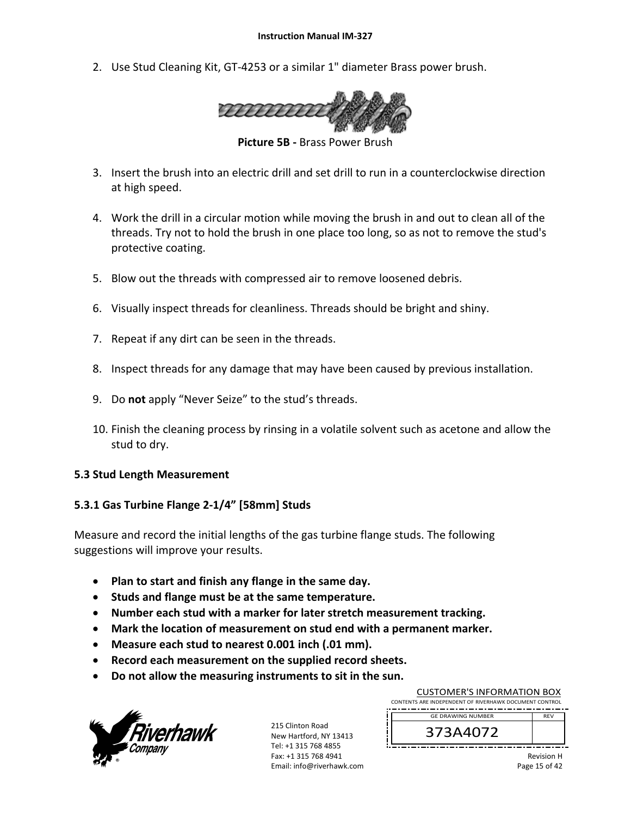2. Use Stud Cleaning Kit, GT‐4253 or a similar 1" diameter Brass power brush.



**Picture 5B ‐** Brass Power Brush

- 3. Insert the brush into an electric drill and set drill to run in a counterclockwise direction at high speed.
- 4. Work the drill in a circular motion while moving the brush in and out to clean all of the threads. Try not to hold the brush in one place too long, so as not to remove the stud's protective coating.
- 5. Blow out the threads with compressed air to remove loosened debris.
- 6. Visually inspect threads for cleanliness. Threads should be bright and shiny.
- 7. Repeat if any dirt can be seen in the threads.
- 8. Inspect threads for any damage that may have been caused by previous installation.
- 9. Do **not** apply "Never Seize" to the stud's threads.
- 10. Finish the cleaning process by rinsing in a volatile solvent such as acetone and allow the stud to dry.

#### **5.3 Stud Length Measurement**

# **5.3.1 Gas Turbine Flange 2‐1/4" [58mm] Studs**

Measure and record the initial lengths of the gas turbine flange studs. The following suggestions will improve your results.

- **Plan to start and finish any flange in the same day.**
- **Studs and flange must be at the same temperature.**
- **Number each stud with a marker for later stretch measurement tracking.**
- **Mark the location of measurement on stud end with a permanent marker.**
- **Measure each stud to nearest 0.001 inch (.01 mm).**
- **Record each measurement on the supplied record sheets.**
- **Do not allow the measuring instruments to sit in the sun.**



215 Clinton Road New Hartford, NY 13413 Tel: +1 315 768 4855 Fax: +1 315 768 4941 Email: info@riverhawk.com

| CONTENTS ARE INDEPENDENT OF RIVERHAWK DOCUMENT CONTROL |            |
|--------------------------------------------------------|------------|
| <b>GE DRAWING NUMBER</b>                               | <b>RFV</b> |
| 373A4072                                               |            |

CUSTOMER'S INFORMATION BOX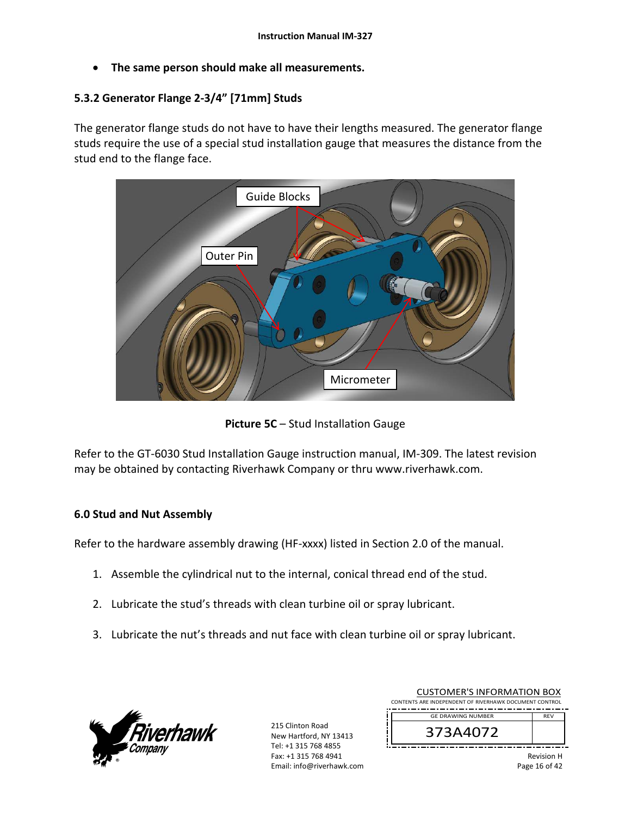**The same person should make all measurements.** 

# **5.3.2 Generator Flange 2‐3/4" [71mm] Studs**

The generator flange studs do not have to have their lengths measured. The generator flange studs require the use of a special stud installation gauge that measures the distance from the stud end to the flange face.



**Picture 5C** – Stud Installation Gauge

Refer to the GT‐6030 Stud Installation Gauge instruction manual, IM‐309. The latest revision may be obtained by contacting Riverhawk Company or thru www.riverhawk.com.

# **6.0 Stud and Nut Assembly**

Refer to the hardware assembly drawing (HF‐xxxx) listed in Section 2.0 of the manual.

- 1. Assemble the cylindrical nut to the internal, conical thread end of the stud.
- 2. Lubricate the stud's threads with clean turbine oil or spray lubricant.
- 3. Lubricate the nut's threads and nut face with clean turbine oil or spray lubricant.



215 Clinton Road New Hartford, NY 13413 Tel: +1 315 768 4855 Fax: +1 315 768 4941 Email: info@riverhawk.com

| CUSTUIVIEN 3 INFUNIVIATIUN BUA<br>CONTENTS ARE INDEPENDENT OF RIVERHAWK DOCUMENT CONTROL |                   |
|------------------------------------------------------------------------------------------|-------------------|
| <b>GE DRAWING NUMBER</b>                                                                 | <b>RFV</b>        |
| 373A4072                                                                                 |                   |
|                                                                                          | <b>Dovicion H</b> |

CUSTOMER'S INFORMATION BOY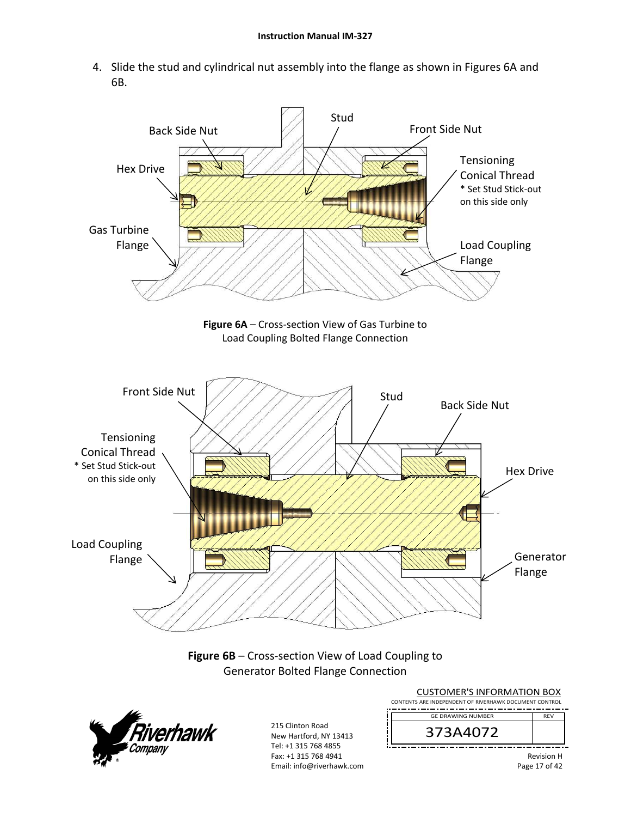4. Slide the stud and cylindrical nut assembly into the flange as shown in Figures 6A and 6B.

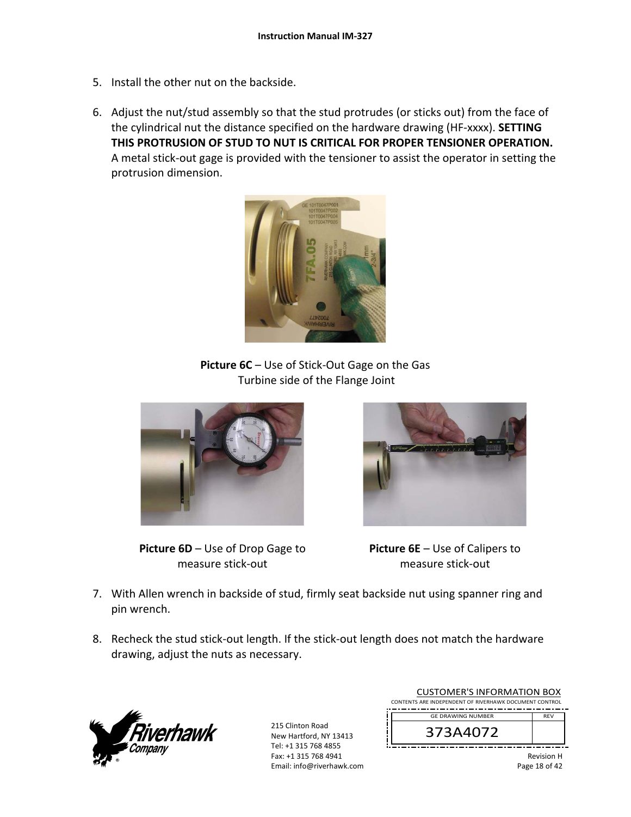- 5. Install the other nut on the backside.
- 6. Adjust the nut/stud assembly so that the stud protrudes (or sticks out) from the face of the cylindrical nut the distance specified on the hardware drawing (HF‐xxxx). **SETTING THIS PROTRUSION OF STUD TO NUT IS CRITICAL FOR PROPER TENSIONER OPERATION.** A metal stick‐out gage is provided with the tensioner to assist the operator in setting the protrusion dimension.



**Picture 6C** – Use of Stick‐Out Gage on the Gas Turbine side of the Flange Joint



**Picture 6D** – Use of Drop Gage to measure stick‐out



**Picture 6E** – Use of Calipers to measure stick‐out

- 7. With Allen wrench in backside of stud, firmly seat backside nut using spanner ring and pin wrench.
- 8. Recheck the stud stick-out length. If the stick-out length does not match the hardware drawing, adjust the nuts as necessary.



|          | <b>CUSTOMER'S INFORMATION BOX</b><br>CONTENTS ARE INDEPENDENT OF RIVERHAWK DOCUMENT CONTROL |            |
|----------|---------------------------------------------------------------------------------------------|------------|
|          | <b>GE DRAWING NUMBER</b>                                                                    | <b>RFV</b> |
| 373A4072 |                                                                                             |            |
|          |                                                                                             | Revision H |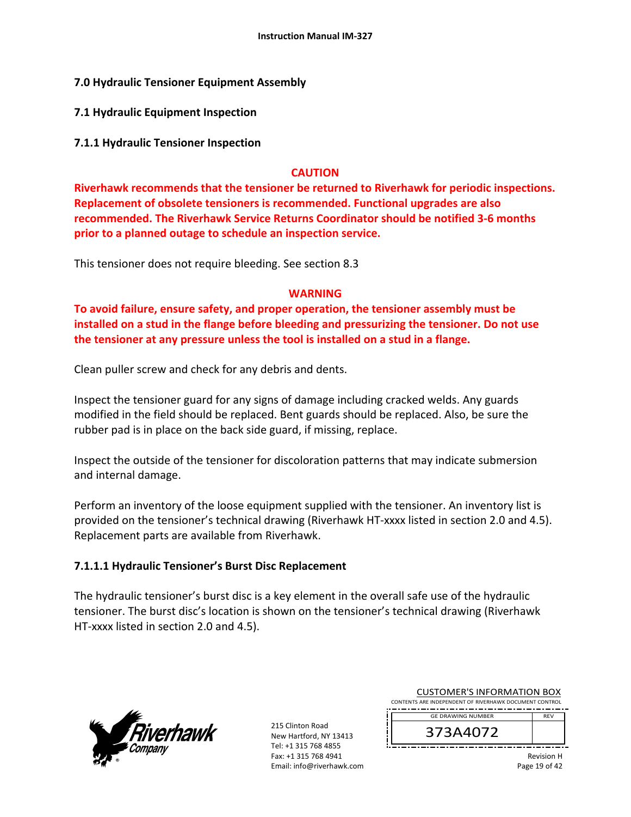**7.0 Hydraulic Tensioner Equipment Assembly**

**7.1 Hydraulic Equipment Inspection** 

# **7.1.1 Hydraulic Tensioner Inspection**

# **CAUTION**

**Riverhawk recommends that the tensioner be returned to Riverhawk for periodic inspections. Replacement of obsolete tensioners is recommended. Functional upgrades are also recommended. The Riverhawk Service Returns Coordinator should be notified 3‐6 months prior to a planned outage to schedule an inspection service.** 

This tensioner does not require bleeding. See section 8.3

# **WARNING**

**To avoid failure, ensure safety, and proper operation, the tensioner assembly must be installed on a stud in the flange before bleeding and pressurizing the tensioner. Do not use the tensioner at any pressure unless the tool is installed on a stud in a flange.** 

Clean puller screw and check for any debris and dents.

Inspect the tensioner guard for any signs of damage including cracked welds. Any guards modified in the field should be replaced. Bent guards should be replaced. Also, be sure the rubber pad is in place on the back side guard, if missing, replace.

Inspect the outside of the tensioner for discoloration patterns that may indicate submersion and internal damage.

Perform an inventory of the loose equipment supplied with the tensioner. An inventory list is provided on the tensioner's technical drawing (Riverhawk HT‐xxxx listed in section 2.0 and 4.5). Replacement parts are available from Riverhawk.

# **7.1.1.1 Hydraulic Tensioner's Burst Disc Replacement**

The hydraulic tensioner's burst disc is a key element in the overall safe use of the hydraulic tensioner. The burst disc's location is shown on the tensioner's technical drawing (Riverhawk HT‐xxxx listed in section 2.0 and 4.5).



215 Clinton Road New Hartford, NY 13413 Tel: +1 315 768 4855 Fax: +1 315 768 4941 Email: info@riverhawk.com

| <b>CUSTOMER'S INFORMATION BOX</b>                      |  |
|--------------------------------------------------------|--|
| CONTENTS ARE INDEPENDENT OF RIVERHAWK DOCUMENT CONTROL |  |
| <b>GE DRAWING NUMBER</b><br><b>RFV</b>                 |  |
|                                                        |  |

373A4072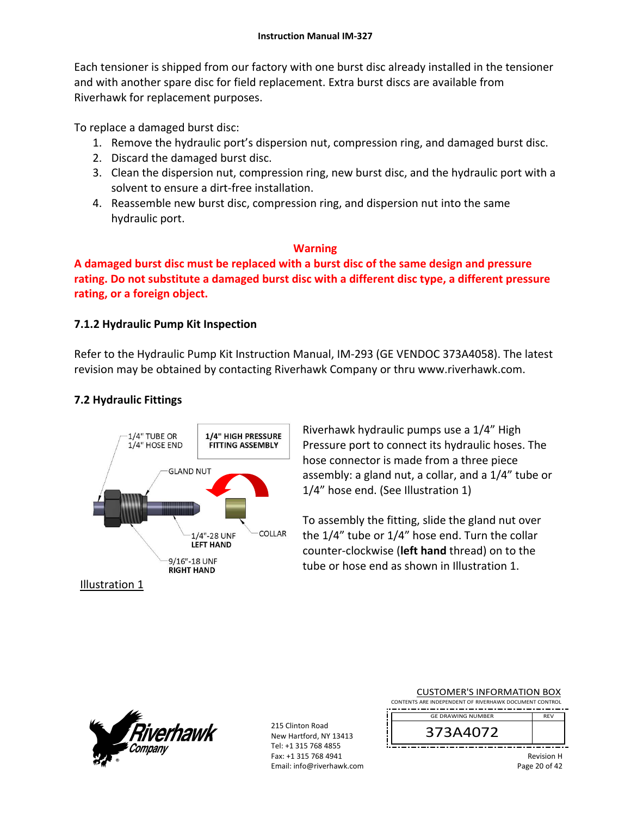Each tensioner is shipped from our factory with one burst disc already installed in the tensioner and with another spare disc for field replacement. Extra burst discs are available from Riverhawk for replacement purposes.

To replace a damaged burst disc:

- 1. Remove the hydraulic port's dispersion nut, compression ring, and damaged burst disc.
- 2. Discard the damaged burst disc.
- 3. Clean the dispersion nut, compression ring, new burst disc, and the hydraulic port with a solvent to ensure a dirt‐free installation.
- 4. Reassemble new burst disc, compression ring, and dispersion nut into the same hydraulic port.

# **Warning**

**A damaged burst disc must be replaced with a burst disc of the same design and pressure rating. Do not substitute a damaged burst disc with a different disc type, a different pressure rating, or a foreign object.**

# **7.1.2 Hydraulic Pump Kit Inspection**

Refer to the Hydraulic Pump Kit Instruction Manual, IM‐293 (GE VENDOC 373A4058). The latest revision may be obtained by contacting Riverhawk Company or thru www.riverhawk.com.

# **7.2 Hydraulic Fittings**



Riverhawk hydraulic pumps use a 1/4" High Pressure port to connect its hydraulic hoses. The hose connector is made from a three piece assembly: a gland nut, a collar, and a 1/4" tube or 1/4" hose end. (See Illustration 1)

To assembly the fitting, slide the gland nut over the 1/4" tube or 1/4" hose end. Turn the collar counter‐clockwise (**left hand** thread) on to the tube or hose end as shown in Illustration 1.

j

ļ



215 Clinton Road New Hartford, NY 13413 Tel: +1 315 768 4855 Fax: +1 315 768 4941 Email: info@riverhawk.com

| <b>CUSTOMER'S INFORMATION BOX</b>                      |            |
|--------------------------------------------------------|------------|
| CONTENTS ARE INDEPENDENT OF RIVERHAWK DOCUMENT CONTROL |            |
| <b>GE DRAWING NUMBER</b>                               | <b>RFV</b> |
|                                                        |            |
| 373A4072                                               |            |
|                                                        |            |

Revision H Page 20 of 42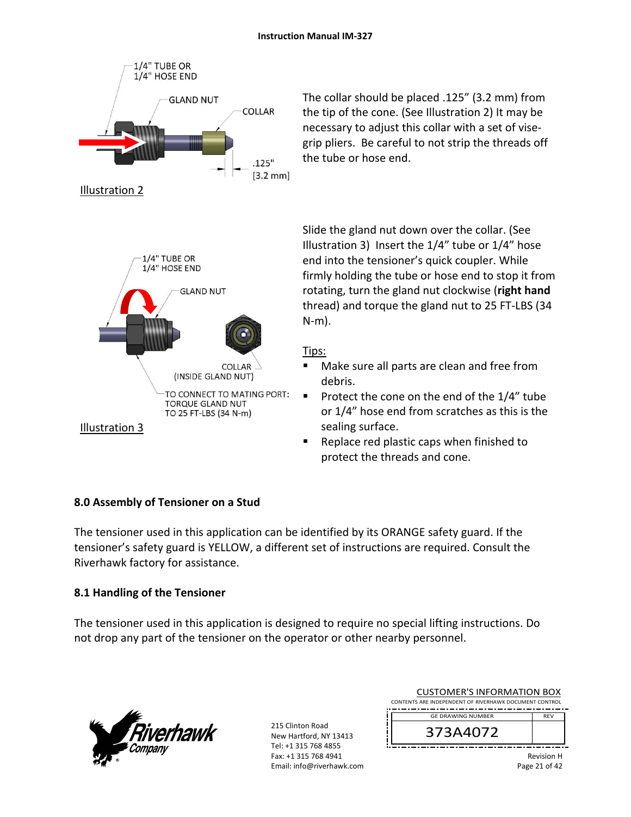

The collar should be placed .125" (3.2 mm) from the tip of the cone. (See Illustration 2) It may be necessary to adjust this collar with a set of vise‐ grip pliers. Be careful to not strip the threads off the tube or hose end.

Slide the gland nut down over the collar. (See Illustration 3) Insert the 1/4" tube or 1/4" hose end into the tensioner's quick coupler. While firmly holding the tube or hose end to stop it from rotating, turn the gland nut clockwise (**right hand** thread) and torque the gland nut to 25 FT‐LBS (34 N‐m).

# Tips:

- Make sure all parts are clean and free from debris.
- Protect the cone on the end of the  $1/4$ " tube or 1/4" hose end from scratches as this is the sealing surface.
- **Replace red plastic caps when finished to** protect the threads and cone.

# **8.0 Assembly of Tensioner on a Stud**

The tensioner used in this application can be identified by its ORANGE safety guard. If the tensioner's safety guard is YELLOW, a different set of instructions are required. Consult the Riverhawk factory for assistance.

# **8.1 Handling of the Tensioner**

The tensioner used in this application is designed to require no special lifting instructions. Do not drop any part of the tensioner on the operator or other nearby personnel.



215 Clinton Road New Hartford, NY 13413 Tel: +1 315 768 4855 Fax: +1 315 768 4941 Email: info@riverhawk.com

| CUSTUIVIER STINFORIVIATION BOA                         |            |
|--------------------------------------------------------|------------|
| CONTENTS ARE INDEPENDENT OF RIVERHAWK DOCUMENT CONTROL |            |
|                                                        |            |
| <b>GE DRAWING NUMBER</b>                               | <b>RFV</b> |
|                                                        |            |
| 373A4072                                               |            |
|                                                        |            |
|                                                        |            |

CUCTOMER'S INFORMATION BOY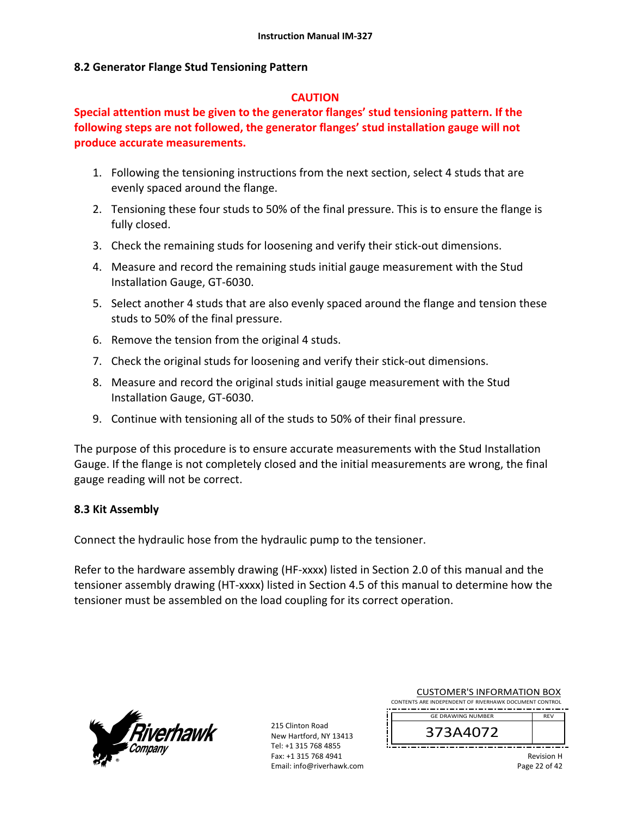#### **8.2 Generator Flange Stud Tensioning Pattern**

#### **CAUTION**

**Special attention must be given to the generator flanges' stud tensioning pattern. If the following steps are not followed, the generator flanges' stud installation gauge will not produce accurate measurements.** 

- 1. Following the tensioning instructions from the next section, select 4 studs that are evenly spaced around the flange.
- 2. Tensioning these four studs to 50% of the final pressure. This is to ensure the flange is fully closed.
- 3. Check the remaining studs for loosening and verify their stick‐out dimensions.
- 4. Measure and record the remaining studs initial gauge measurement with the Stud Installation Gauge, GT‐6030.
- 5. Select another 4 studs that are also evenly spaced around the flange and tension these studs to 50% of the final pressure.
- 6. Remove the tension from the original 4 studs.
- 7. Check the original studs for loosening and verify their stick‐out dimensions.
- 8. Measure and record the original studs initial gauge measurement with the Stud Installation Gauge, GT‐6030.
- 9. Continue with tensioning all of the studs to 50% of their final pressure.

The purpose of this procedure is to ensure accurate measurements with the Stud Installation Gauge. If the flange is not completely closed and the initial measurements are wrong, the final gauge reading will not be correct.

# **8.3 Kit Assembly**

Connect the hydraulic hose from the hydraulic pump to the tensioner.

Refer to the hardware assembly drawing (HF-xxxx) listed in Section 2.0 of this manual and the tensioner assembly drawing (HT‐xxxx) listed in Section 4.5 of this manual to determine how the tensioner must be assembled on the load coupling for its correct operation.



215 Clinton Road New Hartford, NY 13413 Tel: +1 315 768 4855 Fax: +1 315 768 4941 Email: info@riverhawk.com

| 373 A 4073                                             |            |
|--------------------------------------------------------|------------|
| <b>GE DRAWING NUMBER</b>                               | <b>RFV</b> |
| CONTENTS ARE INDEPENDENT OF RIVERHAWK DOCUMENT CONTROL |            |
| COSTOIVIER STINI ONIVIATION BOA                        |            |

CUSTOMER'S INFORMATION BOY

373A4072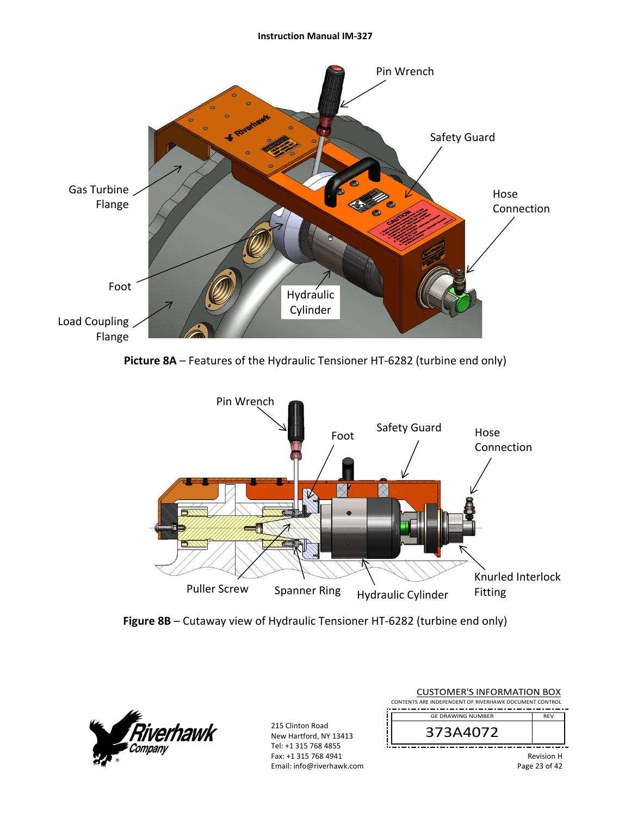#### **Instruction Manual IM‐327**











| <b>CUSTOMER'S INFORMATION BOX</b><br>CONTENTS ARE INDEPENDENT OF RIVERHAWK DOCUMENT CONTROL |                                    |
|---------------------------------------------------------------------------------------------|------------------------------------|
| <b>GE DRAWING NUMBER</b>                                                                    | <b>RFV</b>                         |
| 373A4072                                                                                    |                                    |
|                                                                                             | <b>Revision H</b><br>Page 23 of 42 |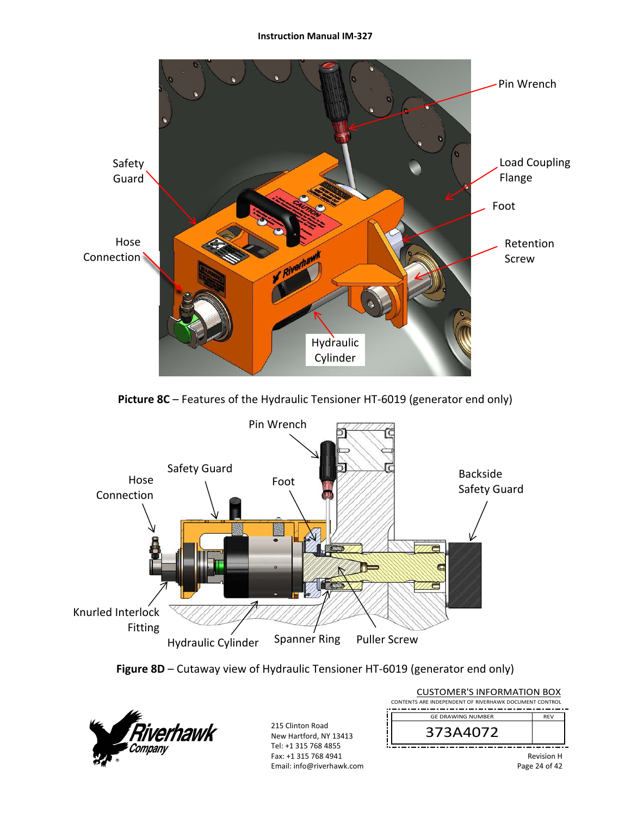#### **Instruction Manual IM‐327**



Picture 8C – Features of the Hydraulic Tensioner HT-6019 (generator end only)







| <b>CUSTOMER'S INFORMATION BOX</b>                      |                   |
|--------------------------------------------------------|-------------------|
| CONTENTS ARE INDEPENDENT OF RIVERHAWK DOCUMENT CONTROL |                   |
| <b>GE DRAWING NUMBER</b><br><b>RFV</b>                 |                   |
| 373A4072                                               |                   |
|                                                        | <b>Revision H</b> |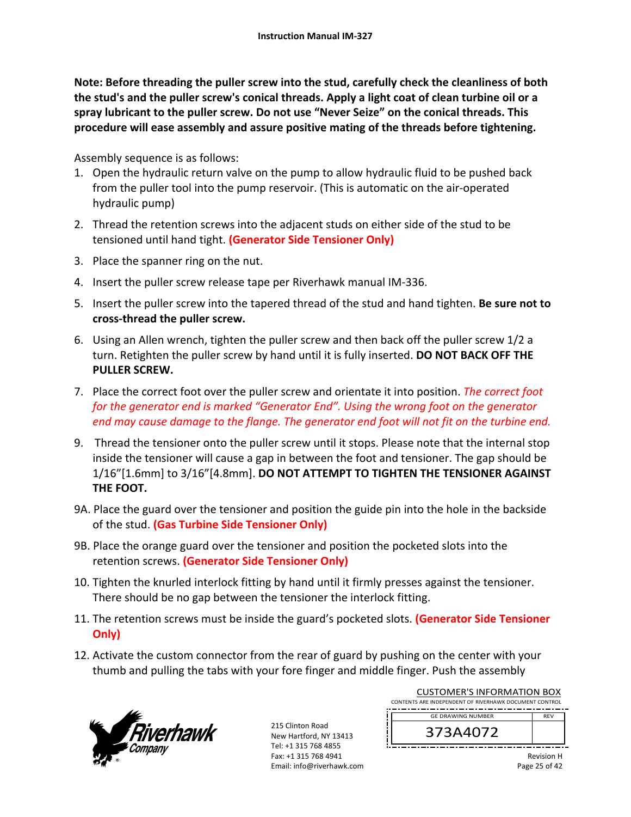**Note: Before threading the puller screw into the stud, carefully check the cleanliness of both the stud's and the puller screw's conical threads. Apply a light coat of clean turbine oil or a spray lubricant to the puller screw. Do not use "Never Seize" on the conical threads. This procedure will ease assembly and assure positive mating of the threads before tightening.** 

Assembly sequence is as follows:

- 1. Open the hydraulic return valve on the pump to allow hydraulic fluid to be pushed back from the puller tool into the pump reservoir. (This is automatic on the air‐operated hydraulic pump)
- 2. Thread the retention screws into the adjacent studs on either side of the stud to be tensioned until hand tight. **(Generator Side Tensioner Only)**
- 3. Place the spanner ring on the nut.
- 4. Insert the puller screw release tape per Riverhawk manual IM‐336.
- 5. Insert the puller screw into the tapered thread of the stud and hand tighten. **Be sure not to cross‐thread the puller screw.**
- 6. Using an Allen wrench, tighten the puller screw and then back off the puller screw 1/2 a turn. Retighten the puller screw by hand until it is fully inserted. **DO NOT BACK OFF THE PULLER SCREW.**
- 7. Place the correct foot over the puller screw and orientate it into position. *The correct foot for the generator end is marked "Generator End". Using the wrong foot on the generator end may cause damage to the flange. The generator end foot will not fit on the turbine end.*
- 9. Thread the tensioner onto the puller screw until it stops. Please note that the internal stop inside the tensioner will cause a gap in between the foot and tensioner. The gap should be 1/16"[1.6mm] to 3/16"[4.8mm]. **DO NOT ATTEMPT TO TIGHTEN THE TENSIONER AGAINST THE FOOT.**
- 9A. Place the guard over the tensioner and position the guide pin into the hole in the backside of the stud. **(Gas Turbine Side Tensioner Only)**
- 9B. Place the orange guard over the tensioner and position the pocketed slots into the retention screws. **(Generator Side Tensioner Only)**
- 10. Tighten the knurled interlock fitting by hand until it firmly presses against the tensioner. There should be no gap between the tensioner the interlock fitting.
- 11. The retention screws must be inside the guard's pocketed slots. **(Generator Side Tensioner Only)**
- 12. Activate the custom connector from the rear of guard by pushing on the center with your thumb and pulling the tabs with your fore finger and middle finger. Push the assembly



215 Clinton Road New Hartford, NY 13413 Tel: +1 315 768 4855 Fax: +1 315 768 4941 Email: info@riverhawk.com

| CONTENTS ARE INDEPENDENT OF RIVERHAWK DOCUMENT CONTROL<br><b>GE DRAWING NUMBER</b><br><b>RFV</b><br>373A4072 | COSTOIVIER 3 INFORMATION BOA |
|--------------------------------------------------------------------------------------------------------------|------------------------------|
|                                                                                                              |                              |
|                                                                                                              |                              |
|                                                                                                              |                              |
|                                                                                                              |                              |

CUCTOMER'S INFORMATION BOY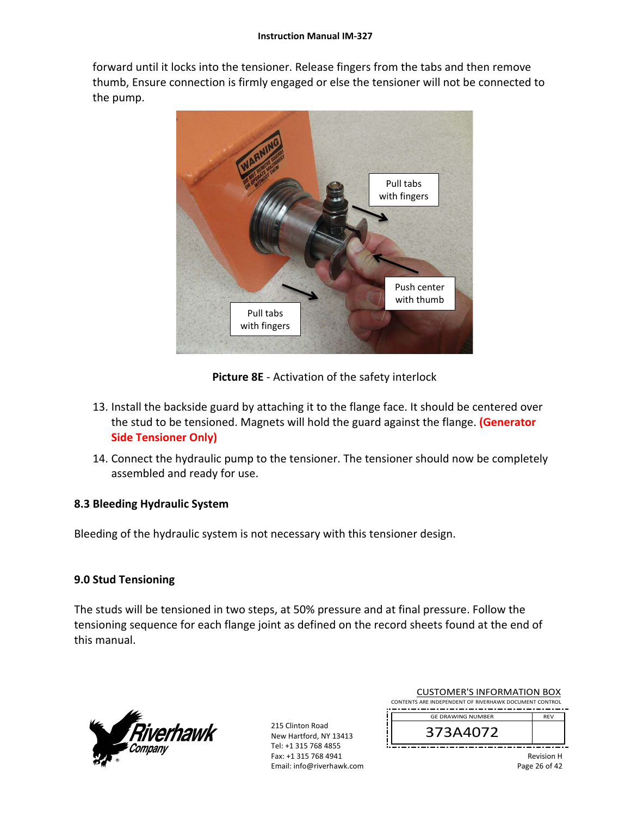forward until it locks into the tensioner. Release fingers from the tabs and then remove thumb, Ensure connection is firmly engaged or else the tensioner will not be connected to the pump.



**Picture 8E** ‐ Activation of the safety interlock

- 13. Install the backside guard by attaching it to the flange face. It should be centered over the stud to be tensioned. Magnets will hold the guard against the flange. **(Generator Side Tensioner Only)**
- 14. Connect the hydraulic pump to the tensioner. The tensioner should now be completely assembled and ready for use.

# **8.3 Bleeding Hydraulic System**

Bleeding of the hydraulic system is not necessary with this tensioner design.

# **9.0 Stud Tensioning**

The studs will be tensioned in two steps, at 50% pressure and at final pressure. Follow the tensioning sequence for each flange joint as defined on the record sheets found at the end of this manual.



215 Clinton Road New Hartford, NY 13413 Tel: +1 315 768 4855 Fax: +1 315 768 4941 Email: info@riverhawk.com

| 373A4072                                               |            |
|--------------------------------------------------------|------------|
| <b>GE DRAWING NUMBER</b>                               | <b>RFV</b> |
| CONTENTS ARE INDEPENDENT OF RIVERHAWK DOCUMENT CONTROL |            |
| COSTONIER STIVI ORNATION DOA                           |            |

CUSTOMER'S INFORMATION BOX

Revision H Page 26 of 42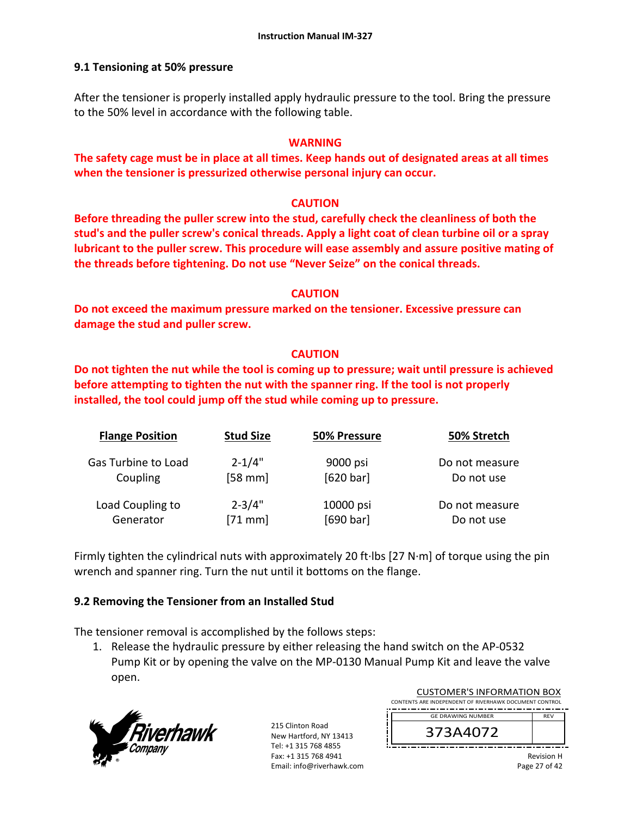# **9.1 Tensioning at 50% pressure**

After the tensioner is properly installed apply hydraulic pressure to the tool. Bring the pressure to the 50% level in accordance with the following table.

# **WARNING**

**The safety cage must be in place at all times. Keep hands out of designated areas at all times when the tensioner is pressurized otherwise personal injury can occur.** 

# **CAUTION**

**Before threading the puller screw into the stud, carefully check the cleanliness of both the stud's and the puller screw's conical threads. Apply a light coat of clean turbine oil or a spray lubricant to the puller screw. This procedure will ease assembly and assure positive mating of the threads before tightening. Do not use "Never Seize" on the conical threads.** 

#### **CAUTION**

**Do not exceed the maximum pressure marked on the tensioner. Excessive pressure can damage the stud and puller screw.** 

# **CAUTION**

**Do not tighten the nut while the tool is coming up to pressure; wait until pressure is achieved before attempting to tighten the nut with the spanner ring. If the tool is not properly installed, the tool could jump off the stud while coming up to pressure.** 

| <b>Flange Position</b> | <b>Stud Size</b> | 50% Pressure | 50% Stretch    |
|------------------------|------------------|--------------|----------------|
| Gas Turbine to Load    | $2 - 1/4"$       | 9000 psi     | Do not measure |
| Coupling               | $[58$ mm]        | [620 bar]    | Do not use     |
| Load Coupling to       | $2 - 3/4"$       | 10000 psi    | Do not measure |
| Generator              | $[71$ mm]        | [690 bar]    | Do not use     |

Firmly tighten the cylindrical nuts with approximately 20 ft∙lbs [27 N∙m] of torque using the pin wrench and spanner ring. Turn the nut until it bottoms on the flange.

# **9.2 Removing the Tensioner from an Installed Stud**

The tensioner removal is accomplished by the follows steps:

1. Release the hydraulic pressure by either releasing the hand switch on the AP‐0532 Pump Kit or by opening the valve on the MP‐0130 Manual Pump Kit and leave the valve open.



215 Clinton Road New Hartford, NY 13413 Tel: +1 315 768 4855 Fax: +1 315 768 4941 Email: info@riverhawk.com

| COSTOIVIER 3 INFORMATION BOA                           |            |  |
|--------------------------------------------------------|------------|--|
| CONTENTS ARE INDEPENDENT OF RIVERHAWK DOCUMENT CONTROL |            |  |
|                                                        |            |  |
| <b>GE DRAWING NUMBER</b>                               | <b>RFV</b> |  |
|                                                        |            |  |
| 373A4072                                               |            |  |
|                                                        |            |  |
|                                                        |            |  |

CUCTOMER'S INFORMATION BOY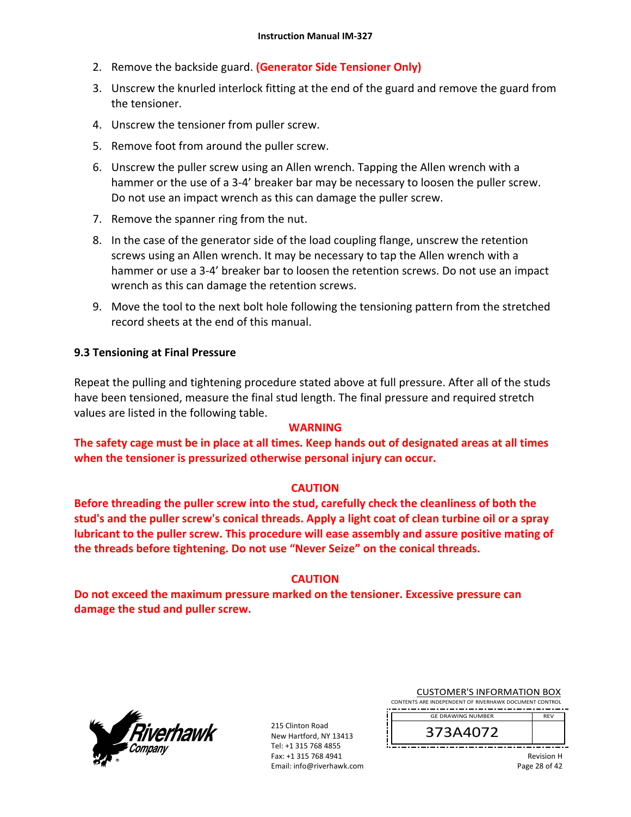- 2. Remove the backside guard. **(Generator Side Tensioner Only)**
- 3. Unscrew the knurled interlock fitting at the end of the guard and remove the guard from the tensioner.
- 4. Unscrew the tensioner from puller screw.
- 5. Remove foot from around the puller screw.
- 6. Unscrew the puller screw using an Allen wrench. Tapping the Allen wrench with a hammer or the use of a 3-4' breaker bar may be necessary to loosen the puller screw. Do not use an impact wrench as this can damage the puller screw.
- 7. Remove the spanner ring from the nut.
- 8. In the case of the generator side of the load coupling flange, unscrew the retention screws using an Allen wrench. It may be necessary to tap the Allen wrench with a hammer or use a 3‐4' breaker bar to loosen the retention screws. Do not use an impact wrench as this can damage the retention screws.
- 9. Move the tool to the next bolt hole following the tensioning pattern from the stretched record sheets at the end of this manual.

# **9.3 Tensioning at Final Pressure**

Repeat the pulling and tightening procedure stated above at full pressure. After all of the studs have been tensioned, measure the final stud length. The final pressure and required stretch values are listed in the following table.

#### **WARNING**

**The safety cage must be in place at all times. Keep hands out of designated areas at all times when the tensioner is pressurized otherwise personal injury can occur.** 

#### **CAUTION**

**Before threading the puller screw into the stud, carefully check the cleanliness of both the stud's and the puller screw's conical threads. Apply a light coat of clean turbine oil or a spray lubricant to the puller screw. This procedure will ease assembly and assure positive mating of the threads before tightening. Do not use "Never Seize" on the conical threads.** 

# **CAUTION**

**Do not exceed the maximum pressure marked on the tensioner. Excessive pressure can damage the stud and puller screw.** 



215 Clinton Road New Hartford, NY 13413 Tel: +1 315 768 4855 Fax: +1 315 768 4941 Email: info@riverhawk.com

| <b>CUSTOMER'S INFORMATION BOX</b>                      |  |  |  |
|--------------------------------------------------------|--|--|--|
| CONTENTS ARE INDEPENDENT OF RIVERHAWK DOCUMENT CONTROL |  |  |  |

REV GE DRAWING NUMBER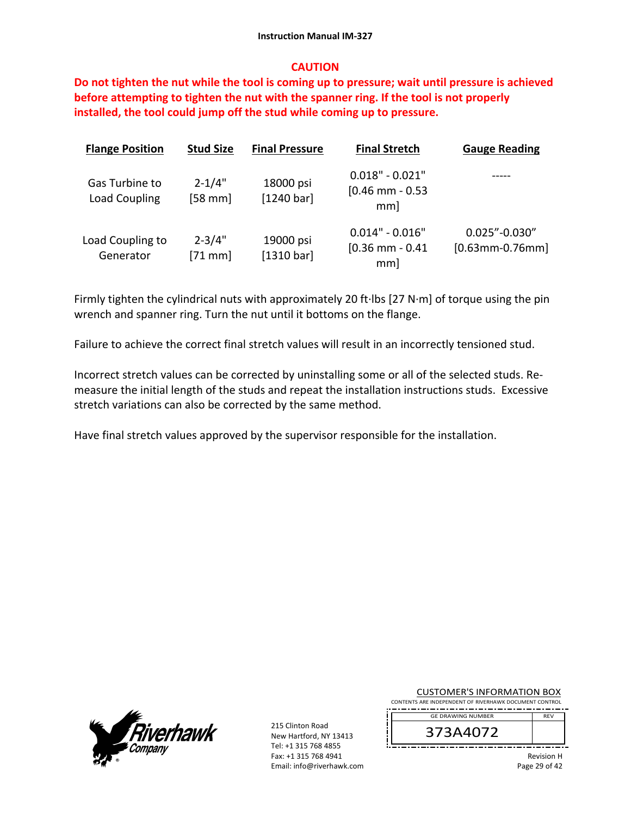#### **CAUTION**

**Do not tighten the nut while the tool is coming up to pressure; wait until pressure is achieved before attempting to tighten the nut with the spanner ring. If the tool is not properly installed, the tool could jump off the stud while coming up to pressure.**

| <b>Flange Position</b>          | <b>Stud Size</b>       | <b>Final Pressure</b>   | <b>Final Stretch</b>                          | <b>Gauge Reading</b>                    |
|---------------------------------|------------------------|-------------------------|-----------------------------------------------|-----------------------------------------|
| Gas Turbine to<br>Load Coupling | $2 - 1/4"$<br>$[58$ mm | 18000 psi<br>[1240 bar] | $0.018" - 0.021"$<br>$[0.46$ mm - 0.53<br>mm] |                                         |
| Load Coupling to<br>Generator   | $2 - 3/4"$<br>$[71$ mm | 19000 psi<br>[1310 bar] | $0.014" - 0.016"$<br>$[0.36$ mm $-0.41$<br>mm | $0.025" - 0.030"$<br>$[0.63$ mm-0.76mm] |

Firmly tighten the cylindrical nuts with approximately 20 ft∙lbs [27 N∙m] of torque using the pin wrench and spanner ring. Turn the nut until it bottoms on the flange.

Failure to achieve the correct final stretch values will result in an incorrectly tensioned stud.

Incorrect stretch values can be corrected by uninstalling some or all of the selected studs. Re‐ measure the initial length of the studs and repeat the installation instructions studs. Excessive stretch variations can also be corrected by the same method.

Have final stretch values approved by the supervisor responsible for the installation.



215 Clinton Road New Hartford, NY 13413 Tel: +1 315 768 4855 Fax: +1 315 768 4941 Email: info@riverhawk.com

| <b>CUSTOMER'S INFORMATION BOX</b>                      |  |  |  |
|--------------------------------------------------------|--|--|--|
| CONTENTS ARE INDEPENDENT OF RIVERHAWK DOCUMENT CONTROL |  |  |  |
| -----------------------------------                    |  |  |  |

373A4072 GE DRAWING NUMBER

> Revision H Page 29 of 42

REV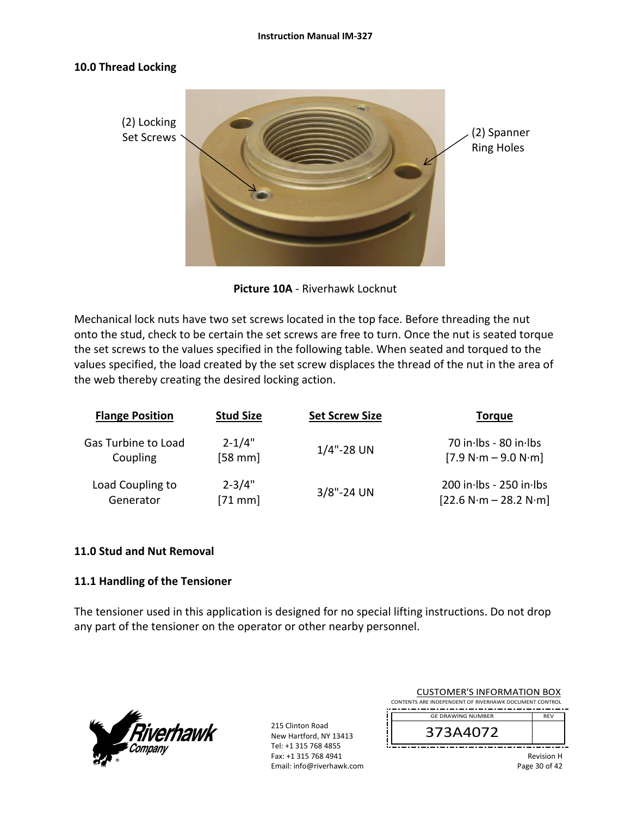#### **10.0 Thread Locking**



**Picture 10A** ‐ Riverhawk Locknut

Mechanical lock nuts have two set screws located in the top face. Before threading the nut onto the stud, check to be certain the set screws are free to turn. Once the nut is seated torque the set screws to the values specified in the following table. When seated and torqued to the values specified, the load created by the set screw displaces the thread of the nut in the area of the web thereby creating the desired locking action.

| <b>Flange Position</b> | <b>Stud Size</b> | <b>Set Screw Size</b> | <b>Torque</b>             |
|------------------------|------------------|-----------------------|---------------------------|
| Gas Turbine to Load    | $2 - 1/4"$       | $1/4$ "-28 UN         | 70 in Ibs - 80 in Ibs     |
| Coupling               | $[58$ mm]        |                       | $[7.9 N·m - 9.0 N·m]$     |
| Load Coupling to       | $2 - 3/4"$       | $3/8$ "-24 UN         | $200$ in Ibs - 250 in Ibs |
| Generator              | $[71$ mm         |                       | $[22.6 N·m - 28.2 N·m]$   |

#### **11.0 Stud and Nut Removal**

# **11.1 Handling of the Tensioner**

The tensioner used in this application is designed for no special lifting instructions. Do not drop any part of the tensioner on the operator or other nearby personnel.



215 Clinton Road New Hartford, NY 13413 Tel: +1 315 768 4855 Fax: +1 315 768 4941 Email: info@riverhawk.com

| CUSTUMER S INFORMATION BUX                             |             |
|--------------------------------------------------------|-------------|
| CONTENTS ARE INDEPENDENT OF RIVERHAWK DOCUMENT CONTROL |             |
|                                                        |             |
| <b>GE DRAWING NUMBER</b>                               | <b>RFV</b>  |
| 373A4072                                               |             |
|                                                        | Dovision II |

CUCTOMER'S INFORMATION BOY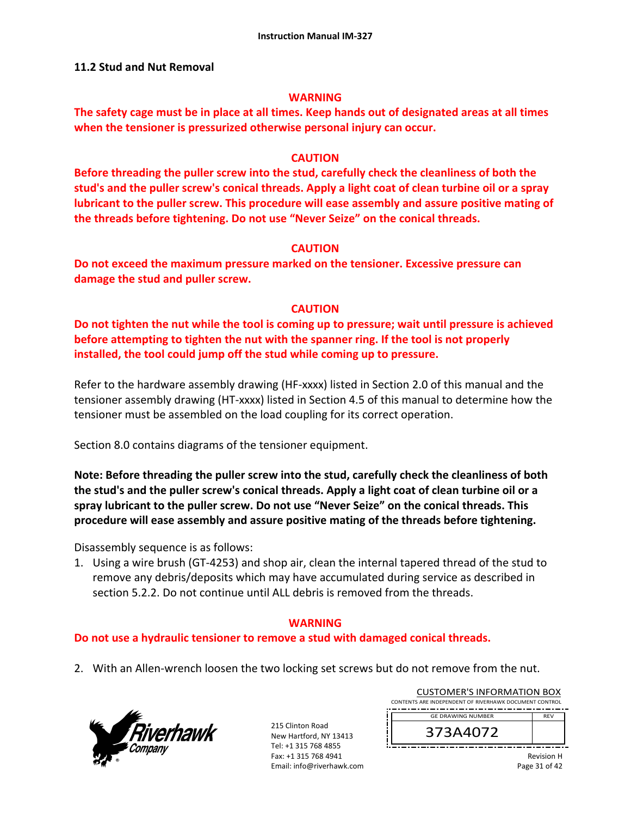#### **11.2 Stud and Nut Removal**

#### **WARNING**

**The safety cage must be in place at all times. Keep hands out of designated areas at all times when the tensioner is pressurized otherwise personal injury can occur.** 

#### **CAUTION**

**Before threading the puller screw into the stud, carefully check the cleanliness of both the stud's and the puller screw's conical threads. Apply a light coat of clean turbine oil or a spray lubricant to the puller screw. This procedure will ease assembly and assure positive mating of the threads before tightening. Do not use "Never Seize" on the conical threads.** 

# **CAUTION**

**Do not exceed the maximum pressure marked on the tensioner. Excessive pressure can damage the stud and puller screw.** 

# **CAUTION**

**Do not tighten the nut while the tool is coming up to pressure; wait until pressure is achieved before attempting to tighten the nut with the spanner ring. If the tool is not properly installed, the tool could jump off the stud while coming up to pressure.** 

Refer to the hardware assembly drawing (HF-xxxx) listed in Section 2.0 of this manual and the tensioner assembly drawing (HT‐xxxx) listed in Section 4.5 of this manual to determine how the tensioner must be assembled on the load coupling for its correct operation.

Section 8.0 contains diagrams of the tensioner equipment.

**Note: Before threading the puller screw into the stud, carefully check the cleanliness of both the stud's and the puller screw's conical threads. Apply a light coat of clean turbine oil or a spray lubricant to the puller screw. Do not use "Never Seize" on the conical threads. This procedure will ease assembly and assure positive mating of the threads before tightening.** 

Disassembly sequence is as follows:

1. Using a wire brush (GT‐4253) and shop air, clean the internal tapered thread of the stud to remove any debris/deposits which may have accumulated during service as described in section 5.2.2. Do not continue until ALL debris is removed from the threads.

# **WARNING**

# **Do not use a hydraulic tensioner to remove a stud with damaged conical threads.**

2. With an Allen-wrench loosen the two locking set screws but do not remove from the nut.



215 Clinton Road New Hartford, NY 13413 Tel: +1 315 768 4855 Fax: +1 315 768 4941 Email: info@riverhawk.com

| CUSTUMER S INFORMATION BUX                             |            |  |
|--------------------------------------------------------|------------|--|
| CONTENTS ARE INDEPENDENT OF RIVERHAWK DOCUMENT CONTROL |            |  |
|                                                        |            |  |
| <b>GE DRAWING NUMBER</b>                               | <b>RFV</b> |  |
|                                                        |            |  |
| 373A4072                                               |            |  |
|                                                        |            |  |
|                                                        |            |  |

CUCTOMER'S INFORMATION BOY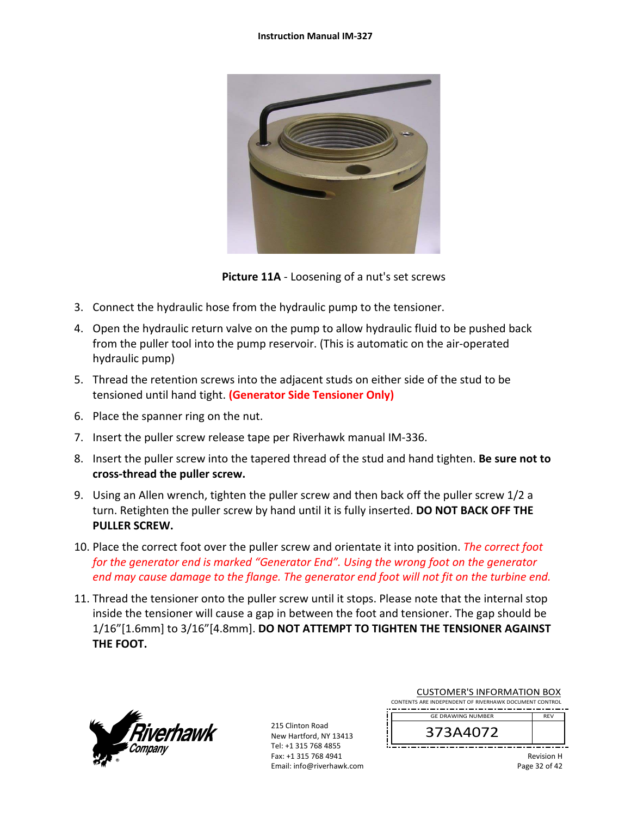

**Picture 11A** ‐ Loosening of a nut's set screws

- 3. Connect the hydraulic hose from the hydraulic pump to the tensioner.
- 4. Open the hydraulic return valve on the pump to allow hydraulic fluid to be pushed back from the puller tool into the pump reservoir. (This is automatic on the air‐operated hydraulic pump)
- 5. Thread the retention screws into the adjacent studs on either side of the stud to be tensioned until hand tight. **(Generator Side Tensioner Only)**
- 6. Place the spanner ring on the nut.
- 7. Insert the puller screw release tape per Riverhawk manual IM‐336.
- 8. Insert the puller screw into the tapered thread of the stud and hand tighten. **Be sure not to cross‐thread the puller screw.**
- 9. Using an Allen wrench, tighten the puller screw and then back off the puller screw 1/2 a turn. Retighten the puller screw by hand until it is fully inserted. **DO NOT BACK OFF THE PULLER SCREW.**
- 10. Place the correct foot over the puller screw and orientate it into position. *The correct foot for the generator end is marked "Generator End". Using the wrong foot on the generator end may cause damage to the flange. The generator end foot will not fit on the turbine end.*
- 11. Thread the tensioner onto the puller screw until it stops. Please note that the internal stop inside the tensioner will cause a gap in between the foot and tensioner. The gap should be 1/16"[1.6mm] to 3/16"[4.8mm]. **DO NOT ATTEMPT TO TIGHTEN THE TENSIONER AGAINST THE FOOT.**



215 Clinton Road New Hartford, NY 13413 Tel: +1 315 768 4855 Fax: +1 315 768 4941 Email: info@riverhawk.com

| CONTENTS ARE INDEPENDENT OF RIVERHAWK DOCUMENT CONTROL |            |  |  |  |
|--------------------------------------------------------|------------|--|--|--|
| <b>GE DRAWING NUMBER</b>                               | <b>RFV</b> |  |  |  |
| 373A4072                                               |            |  |  |  |
|                                                        |            |  |  |  |

CUSTOMER'S INFORMATION BOX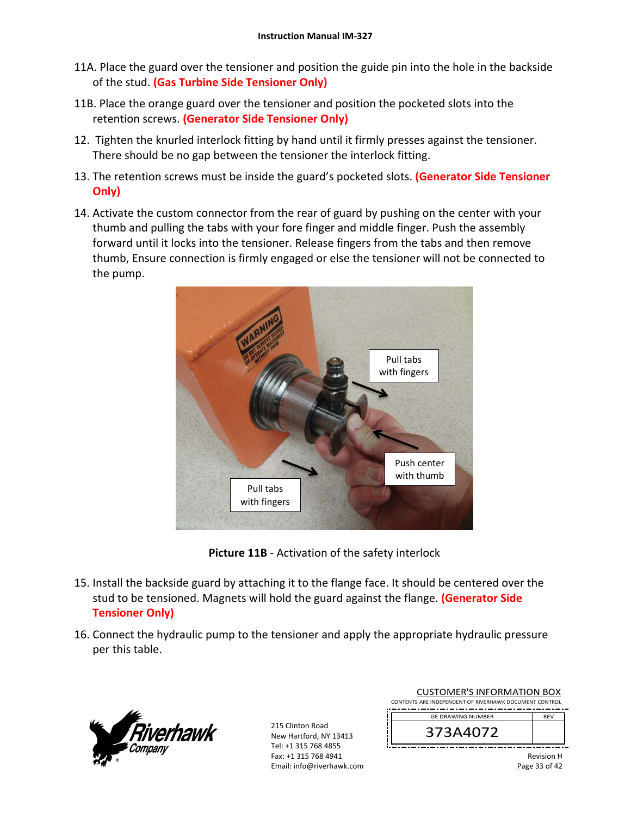- 11A. Place the guard over the tensioner and position the guide pin into the hole in the backside of the stud. **(Gas Turbine Side Tensioner Only)**
- 11B. Place the orange guard over the tensioner and position the pocketed slots into the retention screws. **(Generator Side Tensioner Only)**
- 12. Tighten the knurled interlock fitting by hand until it firmly presses against the tensioner. There should be no gap between the tensioner the interlock fitting.
- 13. The retention screws must be inside the guard's pocketed slots. **(Generator Side Tensioner Only)**
- 14. Activate the custom connector from the rear of guard by pushing on the center with your thumb and pulling the tabs with your fore finger and middle finger. Push the assembly forward until it locks into the tensioner. Release fingers from the tabs and then remove thumb, Ensure connection is firmly engaged or else the tensioner will not be connected to the pump.



**Picture 11B** ‐ Activation of the safety interlock

- 15. Install the backside guard by attaching it to the flange face. It should be centered over the stud to be tensioned. Magnets will hold the guard against the flange. **(Generator Side Tensioner Only)**
- 16. Connect the hydraulic pump to the tensioner and apply the appropriate hydraulic pressure per this table.



215 Clinton Road New Hartford, NY 13413 Tel: +1 315 768 4855 Fax: +1 315 768 4941 Email: info@riverhawk.com

| COSTOIVIER 3 INFORMATION BOA<br>CONTENTS ARE INDEPENDENT OF RIVERHAWK DOCUMENT CONTROL |            |
|----------------------------------------------------------------------------------------|------------|
| <b>GE DRAWING NUMBER</b>                                                               | <b>RFV</b> |
| 373A4072                                                                               |            |
|                                                                                        | .<br>$-$   |

CUCTOMER'S INFORMATION BOY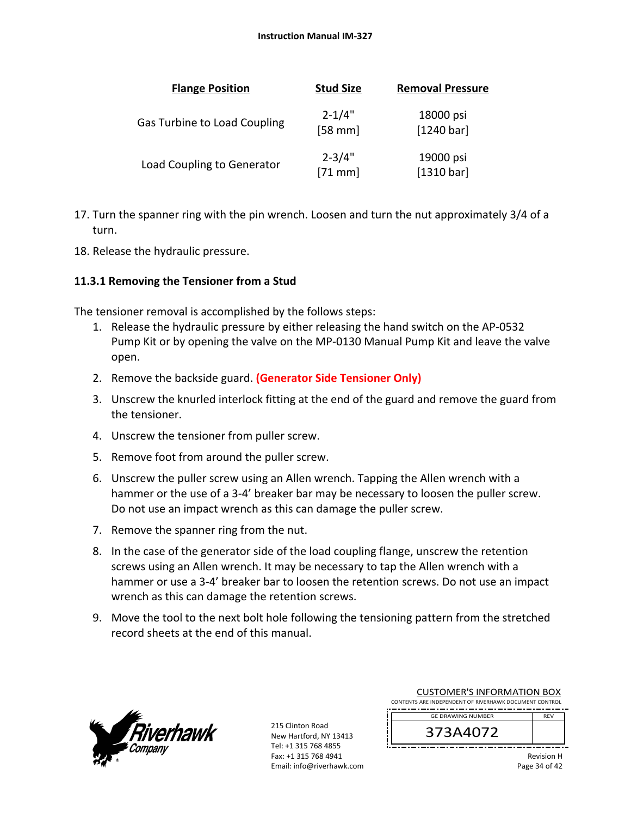| <b>Flange Position</b>              | <b>Stud Size</b>        | <b>Removal Pressure</b> |
|-------------------------------------|-------------------------|-------------------------|
| <b>Gas Turbine to Load Coupling</b> | $2 - 1/4"$<br>$[58$ mm] | 18000 psi<br>[1240 bar] |
| Load Coupling to Generator          | $2 - 3/4"$<br>$[71$ mm] | 19000 psi<br>[1310 bar] |

- 17. Turn the spanner ring with the pin wrench. Loosen and turn the nut approximately 3/4 of a turn.
- 18. Release the hydraulic pressure.

# **11.3.1 Removing the Tensioner from a Stud**

The tensioner removal is accomplished by the follows steps:

- 1. Release the hydraulic pressure by either releasing the hand switch on the AP‐0532 Pump Kit or by opening the valve on the MP‐0130 Manual Pump Kit and leave the valve open.
- 2. Remove the backside guard. **(Generator Side Tensioner Only)**
- 3. Unscrew the knurled interlock fitting at the end of the guard and remove the guard from the tensioner.
- 4. Unscrew the tensioner from puller screw.
- 5. Remove foot from around the puller screw.
- 6. Unscrew the puller screw using an Allen wrench. Tapping the Allen wrench with a hammer or the use of a 3-4' breaker bar may be necessary to loosen the puller screw. Do not use an impact wrench as this can damage the puller screw.
- 7. Remove the spanner ring from the nut.
- 8. In the case of the generator side of the load coupling flange, unscrew the retention screws using an Allen wrench. It may be necessary to tap the Allen wrench with a hammer or use a 3-4' breaker bar to loosen the retention screws. Do not use an impact wrench as this can damage the retention screws.
- 9. Move the tool to the next bolt hole following the tensioning pattern from the stretched record sheets at the end of this manual.



| <b>CUSTOMER'S INFORMATION BOX</b>                      |                                        |  |  |  |  |
|--------------------------------------------------------|----------------------------------------|--|--|--|--|
| CONTENTS ARE INDEPENDENT OF RIVERHAWK DOCUMENT CONTROL |                                        |  |  |  |  |
|                                                        | <b>GE DRAWING NUMBER</b><br><b>RFV</b> |  |  |  |  |
|                                                        | 373A4072                               |  |  |  |  |
|                                                        |                                        |  |  |  |  |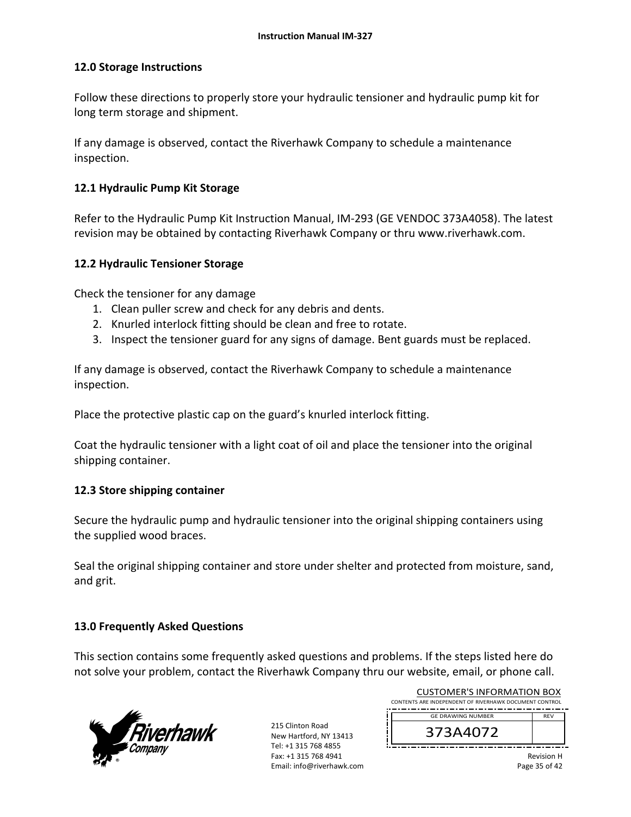# **12.0 Storage Instructions**

Follow these directions to properly store your hydraulic tensioner and hydraulic pump kit for long term storage and shipment.

If any damage is observed, contact the Riverhawk Company to schedule a maintenance inspection.

# **12.1 Hydraulic Pump Kit Storage**

Refer to the Hydraulic Pump Kit Instruction Manual, IM‐293 (GE VENDOC 373A4058). The latest revision may be obtained by contacting Riverhawk Company or thru www.riverhawk.com.

#### **12.2 Hydraulic Tensioner Storage**

Check the tensioner for any damage

- 1. Clean puller screw and check for any debris and dents.
- 2. Knurled interlock fitting should be clean and free to rotate.
- 3. Inspect the tensioner guard for any signs of damage. Bent guards must be replaced.

If any damage is observed, contact the Riverhawk Company to schedule a maintenance inspection.

Place the protective plastic cap on the guard's knurled interlock fitting.

Coat the hydraulic tensioner with a light coat of oil and place the tensioner into the original shipping container.

# **12.3 Store shipping container**

Secure the hydraulic pump and hydraulic tensioner into the original shipping containers using the supplied wood braces.

Seal the original shipping container and store under shelter and protected from moisture, sand, and grit.

# **13.0 Frequently Asked Questions**

This section contains some frequently asked questions and problems. If the steps listed here do not solve your problem, contact the Riverhawk Company thru our website, email, or phone call.



215 Clinton Road New Hartford, NY 13413 Tel: +1 315 768 4855 Fax: +1 315 768 4941 Email: info@riverhawk.com

|                                                        | COSTOIVIER 3 INFORMATION BOA |  |  |  |
|--------------------------------------------------------|------------------------------|--|--|--|
| CONTENTS ARE INDEPENDENT OF RIVERHAWK DOCUMENT CONTROL |                              |  |  |  |
|                                                        |                              |  |  |  |
| <b>GE DRAWING NUMBER</b>                               | <b>RFV</b>                   |  |  |  |
| 373A4072                                               |                              |  |  |  |
|                                                        |                              |  |  |  |

CUCTOMER'S INFORMATION BOY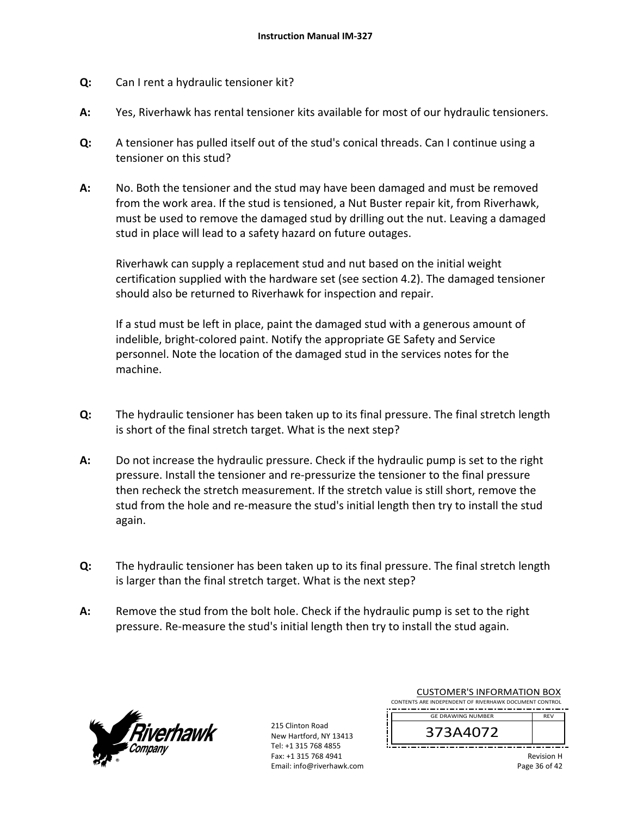- **Q:**  Can I rent a hydraulic tensioner kit?
- **A:**  Yes, Riverhawk has rental tensioner kits available for most of our hydraulic tensioners.
- **Q:**  A tensioner has pulled itself out of the stud's conical threads. Can I continue using a tensioner on this stud?
- **A:**  No. Both the tensioner and the stud may have been damaged and must be removed from the work area. If the stud is tensioned, a Nut Buster repair kit, from Riverhawk, must be used to remove the damaged stud by drilling out the nut. Leaving a damaged stud in place will lead to a safety hazard on future outages.

Riverhawk can supply a replacement stud and nut based on the initial weight certification supplied with the hardware set (see section 4.2). The damaged tensioner should also be returned to Riverhawk for inspection and repair.

If a stud must be left in place, paint the damaged stud with a generous amount of indelible, bright‐colored paint. Notify the appropriate GE Safety and Service personnel. Note the location of the damaged stud in the services notes for the machine.

- **Q:**  The hydraulic tensioner has been taken up to its final pressure. The final stretch length is short of the final stretch target. What is the next step?
- **A:**  Do not increase the hydraulic pressure. Check if the hydraulic pump is set to the right pressure. Install the tensioner and re‐pressurize the tensioner to the final pressure then recheck the stretch measurement. If the stretch value is still short, remove the stud from the hole and re‐measure the stud's initial length then try to install the stud again.
- **Q:**  The hydraulic tensioner has been taken up to its final pressure. The final stretch length is larger than the final stretch target. What is the next step?
- **A:**  Remove the stud from the bolt hole. Check if the hydraulic pump is set to the right pressure. Re‐measure the stud's initial length then try to install the stud again.



215 Clinton Road New Hartford, NY 13413 Tel: +1 315 768 4855 Fax: +1 315 768 4941 Email: info@riverhawk.com

| COJI UNIEN J INI UNNIATION DOM                         |            |
|--------------------------------------------------------|------------|
| CONTENTS ARE INDEPENDENT OF RIVERHAWK DOCUMENT CONTROL |            |
| <b>GE DRAWING NUMBER</b>                               | <b>RFV</b> |
| 373A4072                                               |            |
|                                                        |            |

CUSTOMER'S INFORMATION BOX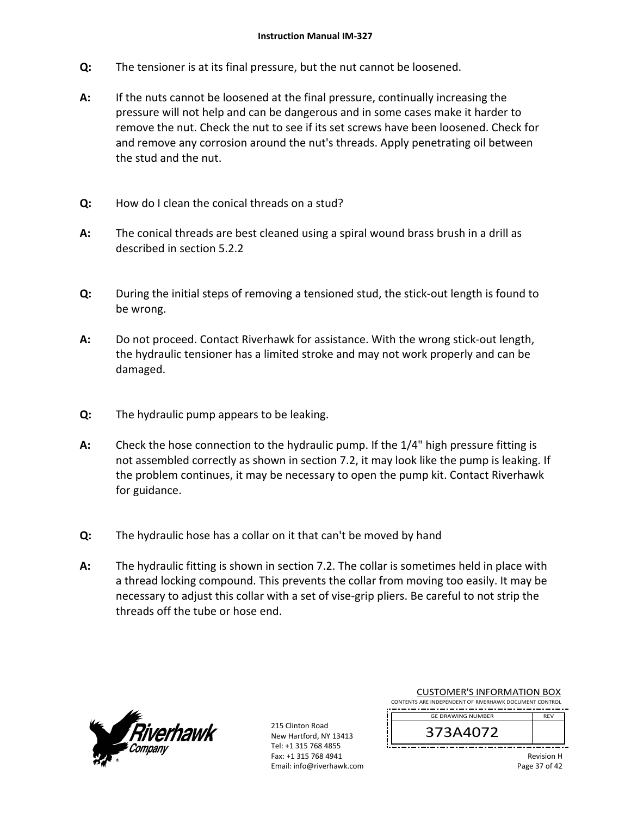- **Q:**  The tensioner is at its final pressure, but the nut cannot be loosened.
- **A:**  If the nuts cannot be loosened at the final pressure, continually increasing the pressure will not help and can be dangerous and in some cases make it harder to remove the nut. Check the nut to see if its set screws have been loosened. Check for and remove any corrosion around the nut's threads. Apply penetrating oil between the stud and the nut.
- **Q:**  How do I clean the conical threads on a stud?
- **A:**  The conical threads are best cleaned using a spiral wound brass brush in a drill as described in section 5.2.2
- **Q:**  During the initial steps of removing a tensioned stud, the stick‐out length is found to be wrong.
- **A:**  Do not proceed. Contact Riverhawk for assistance. With the wrong stick‐out length, the hydraulic tensioner has a limited stroke and may not work properly and can be damaged.
- **Q:**  The hydraulic pump appears to be leaking.
- **A:**  Check the hose connection to the hydraulic pump. If the 1/4" high pressure fitting is not assembled correctly as shown in section 7.2, it may look like the pump is leaking. If the problem continues, it may be necessary to open the pump kit. Contact Riverhawk for guidance.
- **Q:**  The hydraulic hose has a collar on it that can't be moved by hand
- **A:**  The hydraulic fitting is shown in section 7.2. The collar is sometimes held in place with a thread locking compound. This prevents the collar from moving too easily. It may be necessary to adjust this collar with a set of vise‐grip pliers. Be careful to not strip the threads off the tube or hose end.



215 Clinton Road New Hartford, NY 13413 Tel: +1 315 768 4855 Fax: +1 315 768 4941 Email: info@riverhawk.com

| CONTENTS ARE INDEPENDENT OF RIVERHAWK DOCUMENT CONTROL |            |
|--------------------------------------------------------|------------|
| <b>GE DRAWING NUMBER</b>                               | <b>RFV</b> |
| 373A4072                                               |            |
|                                                        |            |

CUSTOMER'S INFORMATION BOX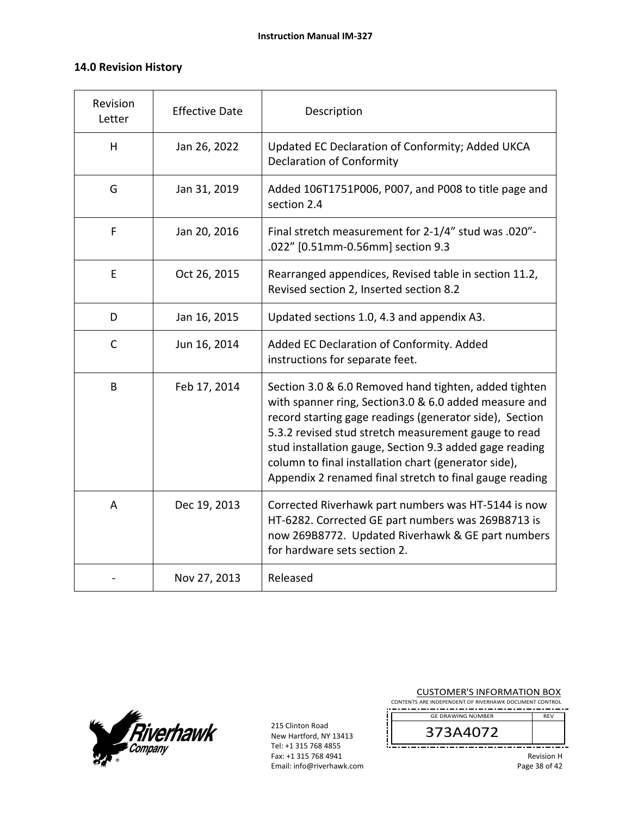# **14.0 Revision History**

| Revision<br>Letter | <b>Effective Date</b> | Description                                                                                                                                                                                                                                                                                                                                                                                                     |
|--------------------|-----------------------|-----------------------------------------------------------------------------------------------------------------------------------------------------------------------------------------------------------------------------------------------------------------------------------------------------------------------------------------------------------------------------------------------------------------|
| H                  | Jan 26, 2022          | Updated EC Declaration of Conformity; Added UKCA<br><b>Declaration of Conformity</b>                                                                                                                                                                                                                                                                                                                            |
| G                  | Jan 31, 2019          | Added 106T1751P006, P007, and P008 to title page and<br>section 2.4                                                                                                                                                                                                                                                                                                                                             |
| F                  | Jan 20, 2016          | Final stretch measurement for 2-1/4" stud was .020"-<br>.022" [0.51mm-0.56mm] section 9.3                                                                                                                                                                                                                                                                                                                       |
| E                  | Oct 26, 2015          | Rearranged appendices, Revised table in section 11.2,<br>Revised section 2, Inserted section 8.2                                                                                                                                                                                                                                                                                                                |
| D                  | Jan 16, 2015          | Updated sections 1.0, 4.3 and appendix A3.                                                                                                                                                                                                                                                                                                                                                                      |
| $\mathsf{C}$       | Jun 16, 2014          | Added EC Declaration of Conformity. Added<br>instructions for separate feet.                                                                                                                                                                                                                                                                                                                                    |
| B                  | Feb 17, 2014          | Section 3.0 & 6.0 Removed hand tighten, added tighten<br>with spanner ring, Section3.0 & 6.0 added measure and<br>record starting gage readings (generator side), Section<br>5.3.2 revised stud stretch measurement gauge to read<br>stud installation gauge, Section 9.3 added gage reading<br>column to final installation chart (generator side),<br>Appendix 2 renamed final stretch to final gauge reading |
| A                  | Dec 19, 2013          | Corrected Riverhawk part numbers was HT-5144 is now<br>HT-6282. Corrected GE part numbers was 269B8713 is<br>now 269B8772. Updated Riverhawk & GE part numbers<br>for hardware sets section 2.                                                                                                                                                                                                                  |
|                    | Nov 27, 2013          | Released                                                                                                                                                                                                                                                                                                                                                                                                        |



| <b>CUSTOMER'S INFORMATION BOX</b><br>CONTENTS ARE INDEPENDENT OF RIVERHAWK DOCUMENT CONTROL |                   |
|---------------------------------------------------------------------------------------------|-------------------|
| <b>GE DRAWING NUMBER</b>                                                                    | <b>RFV</b>        |
| 373A4072                                                                                    |                   |
|                                                                                             | <b>Revision H</b> |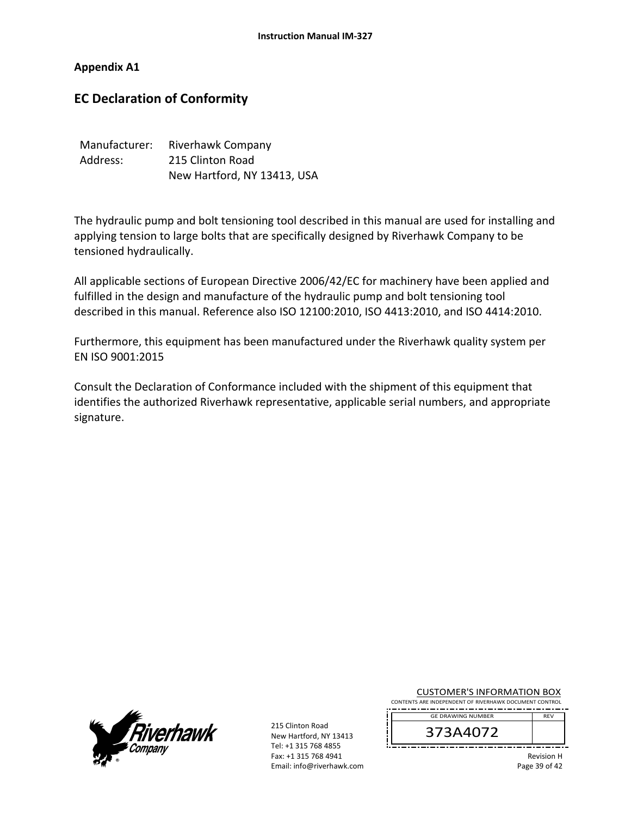**Appendix A1** 

# **EC Declaration of Conformity**

| Manufacturer: | Riverhawk Company           |
|---------------|-----------------------------|
| Address:      | 215 Clinton Road            |
|               | New Hartford, NY 13413, USA |

The hydraulic pump and bolt tensioning tool described in this manual are used for installing and applying tension to large bolts that are specifically designed by Riverhawk Company to be tensioned hydraulically.

All applicable sections of European Directive 2006/42/EC for machinery have been applied and fulfilled in the design and manufacture of the hydraulic pump and bolt tensioning tool described in this manual. Reference also ISO 12100:2010, ISO 4413:2010, and ISO 4414:2010.

Furthermore, this equipment has been manufactured under the Riverhawk quality system per EN ISO 9001:2015

Consult the Declaration of Conformance included with the shipment of this equipment that identifies the authorized Riverhawk representative, applicable serial numbers, and appropriate signature.



215 Clinton Road New Hartford, NY 13413 Tel: +1 315 768 4855 Fax: +1 315 768 4941 Email: info@riverhawk.com

|                                                        |  | <b>CUSTOMER'S INFORMATION BOX</b> |  |  |  |  |
|--------------------------------------------------------|--|-----------------------------------|--|--|--|--|
| CONTENTS ARE INDEPENDENT OF RIVERHAWK DOCUMENT CONTROL |  |                                   |  |  |  |  |

REV GE DRAWING NUMBER

373A4072

Revision H Page 39 of 42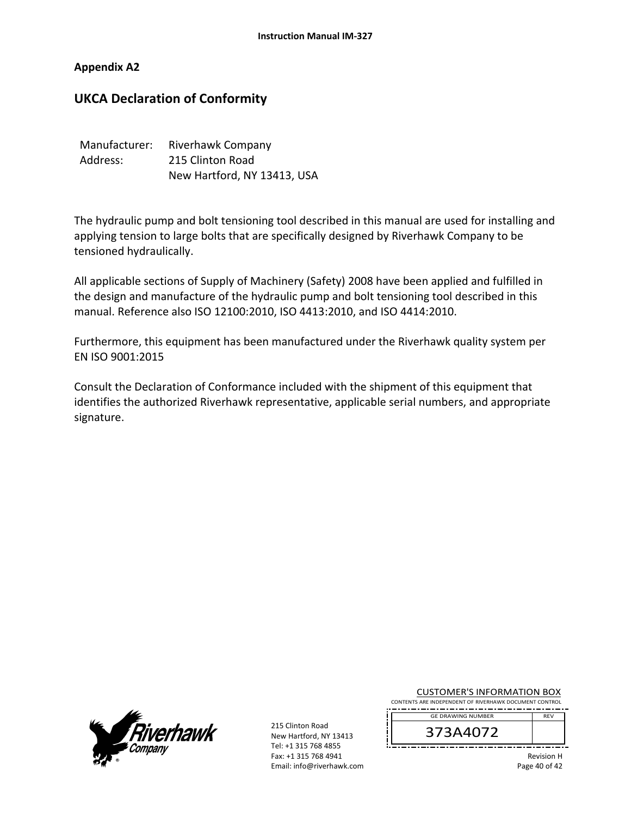# **Appendix A2**

# **UKCA Declaration of Conformity**

| Manufacturer: | Riverhawk Company           |
|---------------|-----------------------------|
| Address:      | 215 Clinton Road            |
|               | New Hartford, NY 13413, USA |

The hydraulic pump and bolt tensioning tool described in this manual are used for installing and applying tension to large bolts that are specifically designed by Riverhawk Company to be tensioned hydraulically.

All applicable sections of Supply of Machinery (Safety) 2008 have been applied and fulfilled in the design and manufacture of the hydraulic pump and bolt tensioning tool described in this manual. Reference also ISO 12100:2010, ISO 4413:2010, and ISO 4414:2010.

Furthermore, this equipment has been manufactured under the Riverhawk quality system per EN ISO 9001:2015

Consult the Declaration of Conformance included with the shipment of this equipment that identifies the authorized Riverhawk representative, applicable serial numbers, and appropriate signature.



215 Clinton Road New Hartford, NY 13413 Tel: +1 315 768 4855 Fax: +1 315 768 4941 Email: info@riverhawk.com

| <b>CUSTOMER'S INFORMATION BOX</b>                      |  |  |
|--------------------------------------------------------|--|--|
| CONTENTS ARE INDEPENDENT OF RIVERHAWK DOCUMENT CONTROL |  |  |

REV GE DRAWING NUMBER



Revision H Page 40 of 42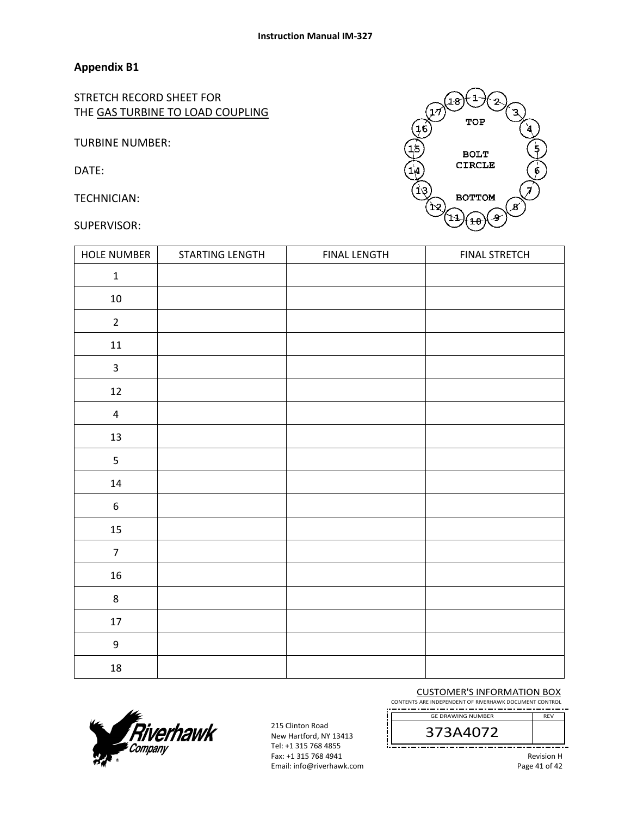# **Appendix B1**

STRETCH RECORD SHEET FOR THE GAS TURBINE TO LOAD COUPLING

TURBINE NUMBER:

DATE:

TECHNICIAN:

#### SUPERVISOR:



| HOLE NUMBER             | STARTING LENGTH | <b>FINAL LENGTH</b> | <b>FINAL STRETCH</b> |
|-------------------------|-----------------|---------------------|----------------------|
| $\mathbf 1$             |                 |                     |                      |
| $10\,$                  |                 |                     |                      |
| $\overline{2}$          |                 |                     |                      |
| $11\,$                  |                 |                     |                      |
| $\mathbf{3}$            |                 |                     |                      |
| $12\,$                  |                 |                     |                      |
| $\overline{\mathbf{4}}$ |                 |                     |                      |
| $13\,$                  |                 |                     |                      |
| 5                       |                 |                     |                      |
| $14\,$                  |                 |                     |                      |
| $\boldsymbol{6}$        |                 |                     |                      |
| $15\,$                  |                 |                     |                      |
| $\overline{7}$          |                 |                     |                      |
| $16\,$                  |                 |                     |                      |
| $\bf 8$                 |                 |                     |                      |
| $17\,$                  |                 |                     |                      |
| $\boldsymbol{9}$        |                 |                     |                      |
| $18\,$                  |                 |                     |                      |



215 Clinton Road New Hartford, NY 13413 Tel: +1 315 768 4855 Fax: +1 315 768 4941 Email: info@riverhawk.com CUSTOMER'S INFORMATION BOX

CONTENTS ARE INDEPENDENT OF RIVERHAWK DOCUMENT CONTROL ----------------------

> 373A4072 GE DRAWING NUMBER

> > Revision H Page 41 of 42

REV